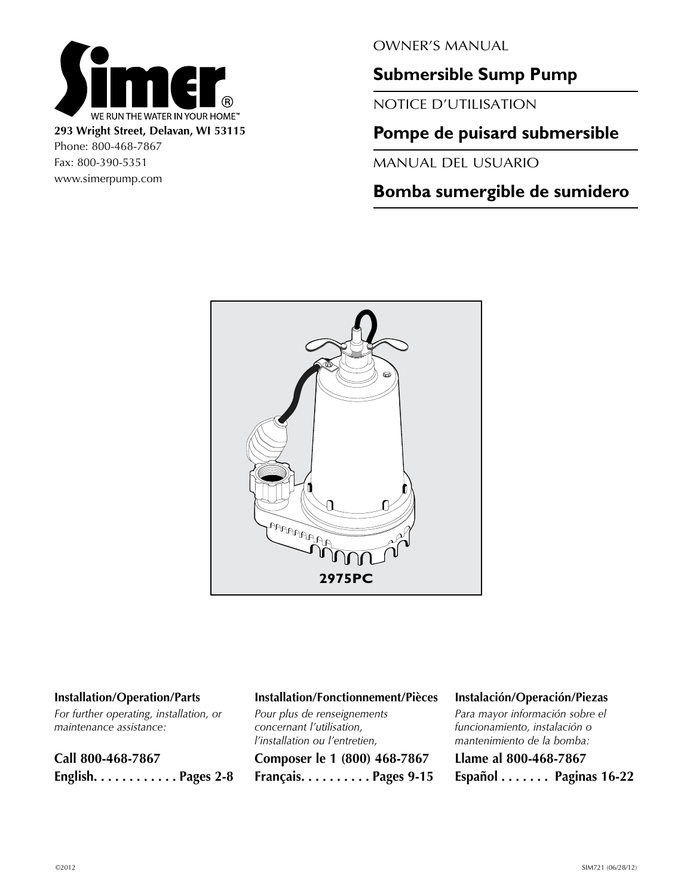

Fax: 800-390-5351 www.simerpump.com OWNER'S MANUAL

# **Submersible Sump Pump**

NOTICE D'UTILISATION

# **Pompe de puisard submersible**

MANUAL DEL USUARIO

# **Bomba sumergible de sumidero**



### **Installation/Operation/Parts**

*For further operating, installation, or maintenance assistance:*

**Call 800-468-7867 English . . . . . . . . . . . Pages 2-8**

## **Installation/Fonctionnement/Pièces**

*Pour plus de renseignements concernant l'utilisation, l'installation ou l'entretien,* **Composer le 1 (800) 468-7867 Français . . . . . . . . . Pages 9-15**

#### **Instalación/Operación/Piezas**

*Para mayor información sobre el funcionamiento, instalación o mantenimiento de la bomba:* **Llame al 800-468-7867 Español . . . . . . . Paginas 16-22**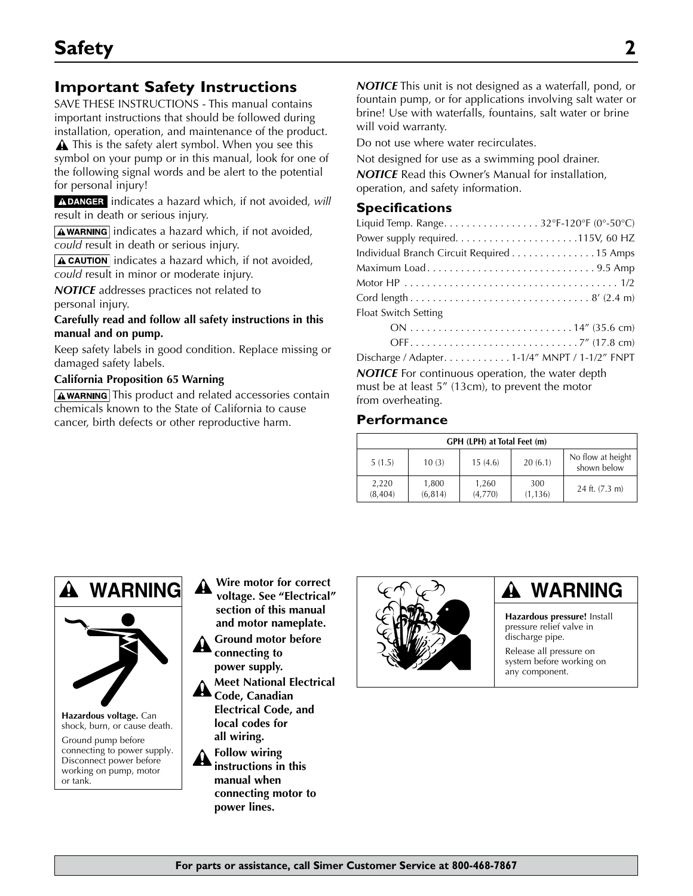# **Important Safety Instructions**

SAVE THESE INSTRUCTIONS - This manual contains important instructions that should be followed during installation, operation, and maintenance of the product.

A This is the safety alert symbol. When you see this symbol on your pump or in this manual, look for one of the following signal words and be alert to the potential for personal injury!

A DANGER indicates a hazard which, if not avoided, will result in death or serious injury.

 $\sqrt{\text{A}$  WARNING indicates a hazard which, if not avoided, *could* result in death or serious injury.

 $\sqrt{\text{A CAUTION}}$  indicates a hazard which, if not avoided, *could* result in minor or moderate injury.

*NOTICE* addresses practices not related to personal injury.

**Carefully read and follow all safety instructions in this manual and on pump.**

Keep safety labels in good condition. Replace missing or damaged safety labels.

#### **California Proposition 65 Warning**

 $A$  warning This product and related accessories contain chemicals known to the State of California to cause cancer, birth defects or other reproductive harm.

*NOTICE* This unit is not designed as a waterfall, pond, or fountain pump, or for applications involving salt water or brine! Use with waterfalls, fountains, salt water or brine will void warranty.

Do not use where water recirculates.

Not designed for use as a swimming pool drainer. *NOTICE* Read this Owner's Manual for installation, operation, and safety information.

#### **Specifications**

| Liquid Temp. Range32°F-120°F (0°-50°C)         |
|------------------------------------------------|
|                                                |
| Individual Branch Circuit Required 15 Amps     |
| Maximum Load9.5 Amp                            |
|                                                |
|                                                |
| Float Switch Setting                           |
|                                                |
|                                                |
| Discharge / Adapter. 1-1/4" MNPT / 1-1/2" FNPT |

**NOTICE** For continuous operation, the water depth must be at least 5" (13cm), to prevent the motor from overheating.

#### **Performance**

| GPH (LPH) at Total Feet (m) |                   |                  |                 |                                  |
|-----------------------------|-------------------|------------------|-----------------|----------------------------------|
| 5(1.5)                      | 10(3)             | 15(4.6)          | 20(6.1)         | No flow at height<br>shown below |
| 2,220<br>(8,404)            | 1,800<br>(6, 814) | 1,260<br>(4,770) | 300<br>(1, 136) | 24 ft. (7.3 m)                   |





**Hazardous voltage.** Can shock, burn, or cause death. Ground pump before connecting to power supply. Disconnect power before working on pump, motor or tank.

- **Wire motor for correct voltage. See "Electrical" section of this manual and motor nameplate.**
- **Ground motor before connecting to power supply.**
- **Meet National Electrical Code, Canadian Electrical Code, and**

**local codes for all wiring.**

**Follow wiring instructions in this manual when connecting motor to power lines.**



# **WARNING**

**Hazardous pressure!** Install pressure relief valve in discharge pipe.

Release all pressure on system before working on any component.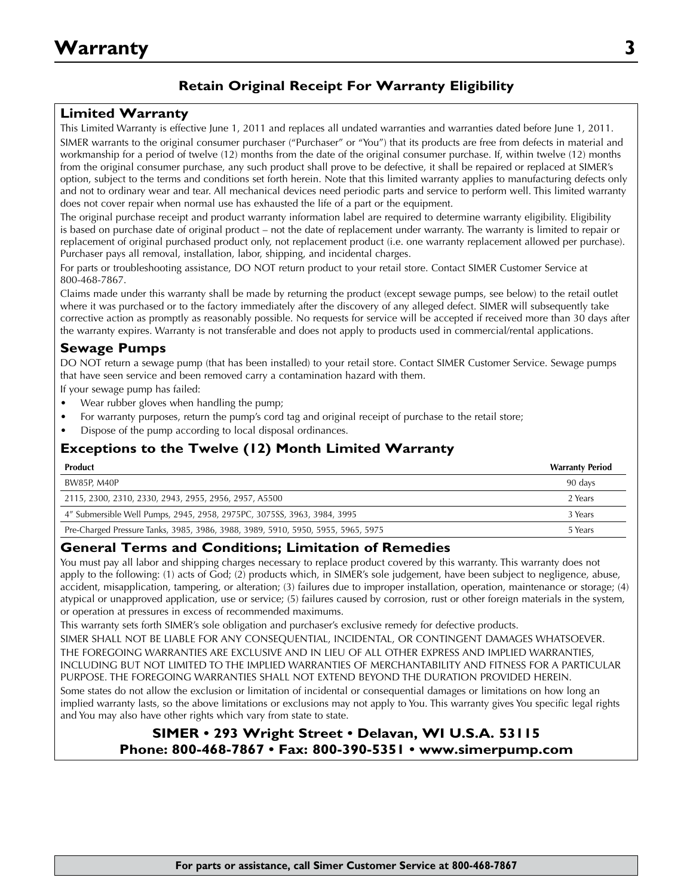# **Retain Original Receipt For Warranty Eligibility**

## **Limited Warranty**

This Limited Warranty is effective June 1, 2011 and replaces all undated warranties and warranties dated before June 1, 2011. SIMER warrants to the original consumer purchaser ("Purchaser" or "You") that its products are free from defects in material and workmanship for a period of twelve (12) months from the date of the original consumer purchase. If, within twelve (12) months from the original consumer purchase, any such product shall prove to be defective, it shall be repaired or replaced at SIMER's option, subject to the terms and conditions set forth herein. Note that this limited warranty applies to manufacturing defects only and not to ordinary wear and tear. All mechanical devices need periodic parts and service to perform well. This limited warranty does not cover repair when normal use has exhausted the life of a part or the equipment.

The original purchase receipt and product warranty information label are required to determine warranty eligibility. Eligibility is based on purchase date of original product – not the date of replacement under warranty. The warranty is limited to repair or replacement of original purchased product only, not replacement product (i.e. one warranty replacement allowed per purchase). Purchaser pays all removal, installation, labor, shipping, and incidental charges.

For parts or troubleshooting assistance, DO NOT return product to your retail store. Contact SIMER Customer Service at 800-468-7867.

Claims made under this warranty shall be made by returning the product (except sewage pumps, see below) to the retail outlet where it was purchased or to the factory immediately after the discovery of any alleged defect. SIMER will subsequently take corrective action as promptly as reasonably possible. No requests for service will be accepted if received more than 30 days after the warranty expires. Warranty is not transferable and does not apply to products used in commercial/rental applications.

## **Sewage Pumps**

DO NOT return a sewage pump (that has been installed) to your retail store. Contact SIMER Customer Service. Sewage pumps that have seen service and been removed carry a contamination hazard with them.

If your sewage pump has failed:

- Wear rubber gloves when handling the pump;
- For warranty purposes, return the pump's cord tag and original receipt of purchase to the retail store;
- Dispose of the pump according to local disposal ordinances.

# **Exceptions to the Twelve (12) Month Limited Warranty**

| Product                                                                          | <b>Warranty Period</b> |
|----------------------------------------------------------------------------------|------------------------|
| BW85P, M40P                                                                      | 90 days                |
| 2115, 2300, 2310, 2330, 2943, 2955, 2956, 2957, A5500                            | 2 Years                |
| 4" Submersible Well Pumps, 2945, 2958, 2975PC, 3075SS, 3963, 3984, 3995          | 3 Years                |
| Pre-Charged Pressure Tanks, 3985, 3986, 3988, 3989, 5910, 5950, 5955, 5965, 5975 | 5 Years                |

## **General Terms and Conditions; Limitation of Remedies**

You must pay all labor and shipping charges necessary to replace product covered by this warranty. This warranty does not apply to the following: (1) acts of God; (2) products which, in SIMER's sole judgement, have been subject to negligence, abuse, accident, misapplication, tampering, or alteration; (3) failures due to improper installation, operation, maintenance or storage; (4) atypical or unapproved application, use or service; (5) failures caused by corrosion, rust or other foreign materials in the system, or operation at pressures in excess of recommended maximums.

This warranty sets forth SIMER's sole obligation and purchaser's exclusive remedy for defective products.

SIMER SHALL NOT BE LIABLE FOR ANY CONSEQUENTIAL, INCIDENTAL, OR CONTINGENT DAMAGES WHATSOEVER. THE FOREGOING WARRANTIES ARE EXCLUSIVE AND IN LIEU OF ALL OTHER EXPRESS AND IMPLIED WARRANTIES, INCLUDING BUT NOT LIMITED TO THE IMPLIED WARRANTIES OF MERCHANTABILITY AND FITNESS FOR A PARTICULAR PURPOSE. THE FOREGOING WARRANTIES SHALL NOT EXTEND BEYOND THE DURATION PROVIDED HEREIN.

Some states do not allow the exclusion or limitation of incidental or consequential damages or limitations on how long an implied warranty lasts, so the above limitations or exclusions may not apply to You. This warranty gives You specific legal rights and You may also have other rights which vary from state to state.

# **SIMER • 293 Wright Street • Delavan, WI U.S.A. 53115 Phone: 800-468-7867 • Fax: 800-390-5351 • www.simerpump.com**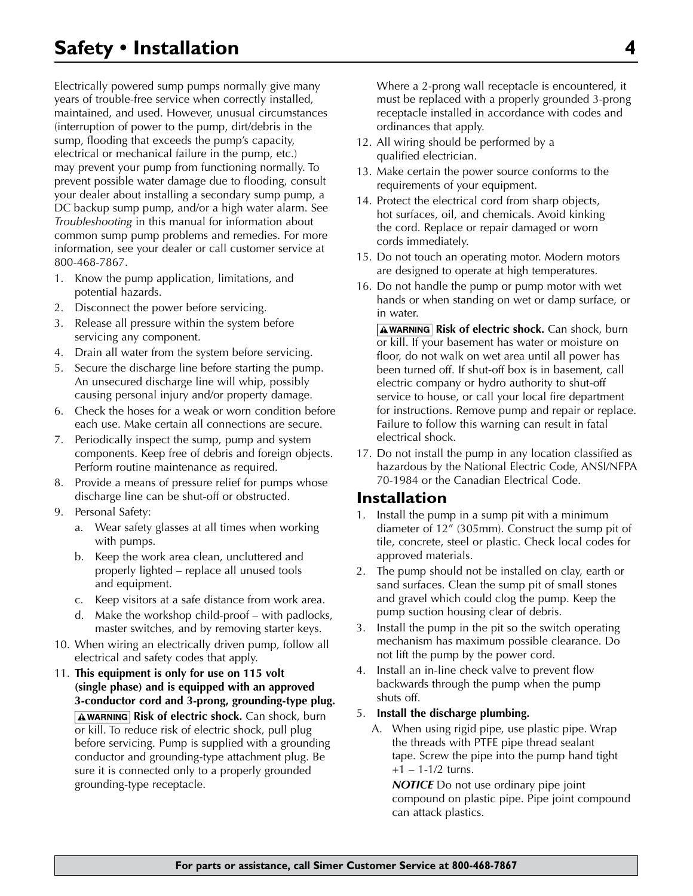Electrically powered sump pumps normally give many years of trouble-free service when correctly installed, maintained, and used. However, unusual circumstances (interruption of power to the pump, dirt/debris in the sump, flooding that exceeds the pump's capacity, electrical or mechanical failure in the pump, etc.) may prevent your pump from functioning normally. To prevent possible water damage due to flooding, consult your dealer about installing a secondary sump pump, a DC backup sump pump, and/or a high water alarm. See *Troubleshooting* in this manual for information about common sump pump problems and remedies. For more information, see your dealer or call customer service at 800-468-7867.

- 1. Know the pump application, limitations, and potential hazards.
- 2. Disconnect the power before servicing.
- 3. Release all pressure within the system before servicing any component.
- 4. Drain all water from the system before servicing.
- 5. Secure the discharge line before starting the pump. An unsecured discharge line will whip, possibly causing personal injury and/or property damage.
- 6. Check the hoses for a weak or worn condition before each use. Make certain all connections are secure.
- 7. Periodically inspect the sump, pump and system components. Keep free of debris and foreign objects. Perform routine maintenance as required.
- 8. Provide a means of pressure relief for pumps whose discharge line can be shut-off or obstructed.
- 9. Personal Safety:
	- a. Wear safety glasses at all times when working with pumps.
	- b. Keep the work area clean, uncluttered and properly lighted – replace all unused tools and equipment.
	- c. Keep visitors at a safe distance from work area.
	- d. Make the workshop child-proof with padlocks, master switches, and by removing starter keys.
- 10. When wiring an electrically driven pump, follow all electrical and safety codes that apply.
- 11. **This equipment is only for use on 115 volt (single phase) and is equipped with an approved 3-conductor cord and 3-prong, grounding-type plug. AWARNING Risk of electric shock.** Can shock, burn or kill. To reduce risk of electric shock, pull plug before servicing. Pump is supplied with a grounding conductor and grounding-type attachment plug. Be sure it is connected only to a properly grounded grounding-type receptacle.

Where a 2-prong wall receptacle is encountered, it must be replaced with a properly grounded 3-prong receptacle installed in accordance with codes and ordinances that apply.

- 12. All wiring should be performed by a qualified electrician.
- 13. Make certain the power source conforms to the requirements of your equipment.
- 14. Protect the electrical cord from sharp objects, hot surfaces, oil, and chemicals. Avoid kinking the cord. Replace or repair damaged or worn cords immediately.
- 15. Do not touch an operating motor. Modern motors are designed to operate at high temperatures.
- 16. Do not handle the pump or pump motor with wet hands or when standing on wet or damp surface, or in water.

**AWARNING Risk of electric shock.** Can shock, burn or kill. If your basement has water or moisture on floor, do not walk on wet area until all power has been turned off. If shut-off box is in basement, call electric company or hydro authority to shut-off service to house, or call your local fire department for instructions. Remove pump and repair or replace. Failure to follow this warning can result in fatal electrical shock.

17. Do not install the pump in any location classified as hazardous by the National Electric Code, ANSI/NFPA 70-1984 or the Canadian Electrical Code.

# **Installation**

- 1. Install the pump in a sump pit with a minimum diameter of 12" (305mm). Construct the sump pit of tile, concrete, steel or plastic. Check local codes for approved materials.
- 2. The pump should not be installed on clay, earth or sand surfaces. Clean the sump pit of small stones and gravel which could clog the pump. Keep the pump suction housing clear of debris.
- 3. Install the pump in the pit so the switch operating mechanism has maximum possible clearance. Do not lift the pump by the power cord.
- 4. Install an in-line check valve to prevent flow backwards through the pump when the pump shuts off.

#### 5. **Install the discharge plumbing.**

A. When using rigid pipe, use plastic pipe. Wrap the threads with PTFE pipe thread sealant tape. Screw the pipe into the pump hand tight  $+1 - 1 - 1/2$  turns.

*NOTICE* Do not use ordinary pipe joint compound on plastic pipe. Pipe joint compound can attack plastics.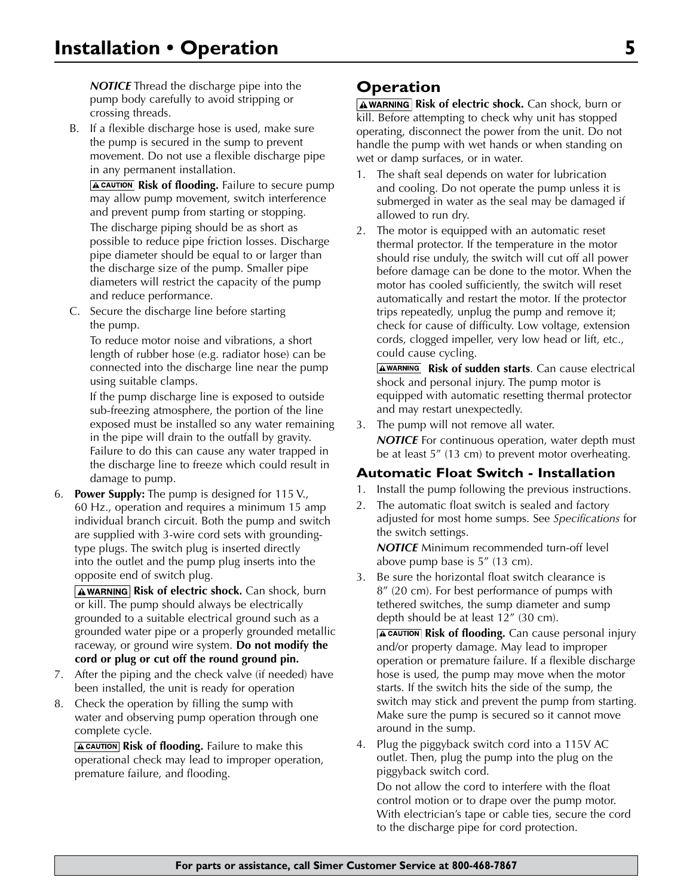*NOTICE* Thread the discharge pipe into the pump body carefully to avoid stripping or crossing threads.

B. If a flexible discharge hose is used, make sure the pump is secured in the sump to prevent movement. Do not use a flexible discharge pipe in any permanent installation.

**A CAUTION Risk of flooding.** Failure to secure pump may allow pump movement, switch interference and prevent pump from starting or stopping. The discharge piping should be as short as possible to reduce pipe friction losses. Discharge pipe diameter should be equal to or larger than the discharge size of the pump. Smaller pipe diameters will restrict the capacity of the pump and reduce performance.

C. Secure the discharge line before starting the pump.

To reduce motor noise and vibrations, a short length of rubber hose (e.g. radiator hose) can be connected into the discharge line near the pump using suitable clamps.

If the pump discharge line is exposed to outside sub-freezing atmosphere, the portion of the line exposed must be installed so any water remaining in the pipe will drain to the outfall by gravity. Failure to do this can cause any water trapped in the discharge line to freeze which could result in damage to pump.

6. **Power Supply:** The pump is designed for 115 V., 60 Hz., operation and requires a minimum 15 amp individual branch circuit. Both the pump and switch are supplied with 3-wire cord sets with groundingtype plugs. The switch plug is inserted directly into the outlet and the pump plug inserts into the opposite end of switch plug.

**AWARNING Risk of electric shock.** Can shock, burn or kill. The pump should always be electrically grounded to a suitable electrical ground such as a grounded water pipe or a properly grounded metallic raceway, or ground wire system. **Do not modify the cord or plug or cut off the round ground pin.**

- 7. After the piping and the check valve (if needed) have been installed, the unit is ready for operation
- 8. Check the operation by filling the sump with water and observing pump operation through one complete cycle.

**A CAUTION** Risk of flooding. Failure to make this operational check may lead to improper operation, premature failure, and flooding.

# **Operation**

**AWARNING Risk of electric shock.** Can shock, burn or kill. Before attempting to check why unit has stopped operating, disconnect the power from the unit. Do not handle the pump with wet hands or when standing on wet or damp surfaces, or in water.

- 1. The shaft seal depends on water for lubrication and cooling. Do not operate the pump unless it is submerged in water as the seal may be damaged if allowed to run dry.
- 2. The motor is equipped with an automatic reset thermal protector. If the temperature in the motor should rise unduly, the switch will cut off all power before damage can be done to the motor. When the motor has cooled sufficiently, the switch will reset automatically and restart the motor. If the protector trips repeatedly, unplug the pump and remove it; check for cause of difficulty. Low voltage, extension cords, clogged impeller, very low head or lift, etc., could cause cycling.

**AWARNING Risk of sudden starts.** Can cause electrical shock and personal injury. The pump motor is equipped with automatic resetting thermal protector and may restart unexpectedly.

3. The pump will not remove all water. **NOTICE** For continuous operation, water depth must be at least 5" (13 cm) to prevent motor overheating.

# **Automatic Float Switch - Installation**

- 1. Install the pump following the previous instructions.
- 2. The automatic float switch is sealed and factory adjusted for most home sumps. See *Specifications* for the switch settings.

*NOTICE* Minimum recommended turn-off level above pump base is 5" (13 cm).

3. Be sure the horizontal float switch clearance is 8" (20 cm). For best performance of pumps with tethered switches, the sump diameter and sump depth should be at least 12" (30 cm).

**A CAUTION** Risk of flooding. Can cause personal injury and/or property damage. May lead to improper operation or premature failure. If a flexible discharge hose is used, the pump may move when the motor starts. If the switch hits the side of the sump, the switch may stick and prevent the pump from starting. Make sure the pump is secured so it cannot move around in the sump.

4. Plug the piggyback switch cord into a 115V AC outlet. Then, plug the pump into the plug on the piggyback switch cord.

Do not allow the cord to interfere with the float control motion or to drape over the pump motor. With electrician's tape or cable ties, secure the cord to the discharge pipe for cord protection.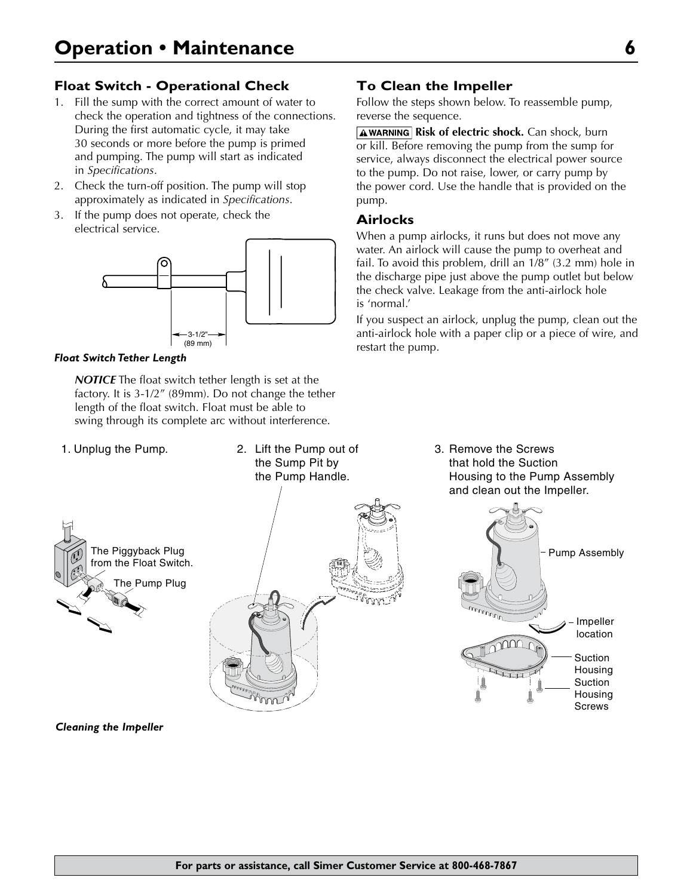# **Float Switch - Operational Check**

- 1. Fill the sump with the correct amount of water to check the operation and tightness of the connections. During the first automatic cycle, it may take 30 seconds or more before the pump is primed and pumping. The pump will start as indicated in *Specifications*.
- 2. Check the turn-off position. The pump will stop approximately as indicated in *Specifications*.
- 3. If the pump does not operate, check the electrical service.



#### *Float Switch Tether Length*

*NOTICE* The float switch tether length is set at the factory. It is 3-1/2" (89mm). Do not change the tether length of the float switch. Float must be able to swing through its complete arc without interference.

- 
- 1. Unplug the Pump. Lift the Pump out of 2. Remove the Screws the Sump Pit by the Pump Handle.





### **To Clean the Impeller**

Follow the steps shown below. To reassemble pump, reverse the sequence.

**AWARNING Risk of electric shock.** Can shock, burn or kill. Before removing the pump from the sump for service, always disconnect the electrical power source to the pump. Do not raise, lower, or carry pump by the power cord. Use the handle that is provided on the pump.

### **Airlocks**

When a pump airlocks, it runs but does not move any water. An airlock will cause the pump to overheat and fail. To avoid this problem, drill an 1/8" (3.2 mm) hole in the discharge pipe just above the pump outlet but below the check valve. Leakage from the anti-airlock hole is 'normal.'

If you suspect an airlock, unplug the pump, clean out the anti-airlock hole with a paper clip or a piece of wire, and restart the pump.

that hold the Suction Housing to the Pump Assembly and clean out the Impeller. 3. Remove the Screws



*Cleaning the Impeller*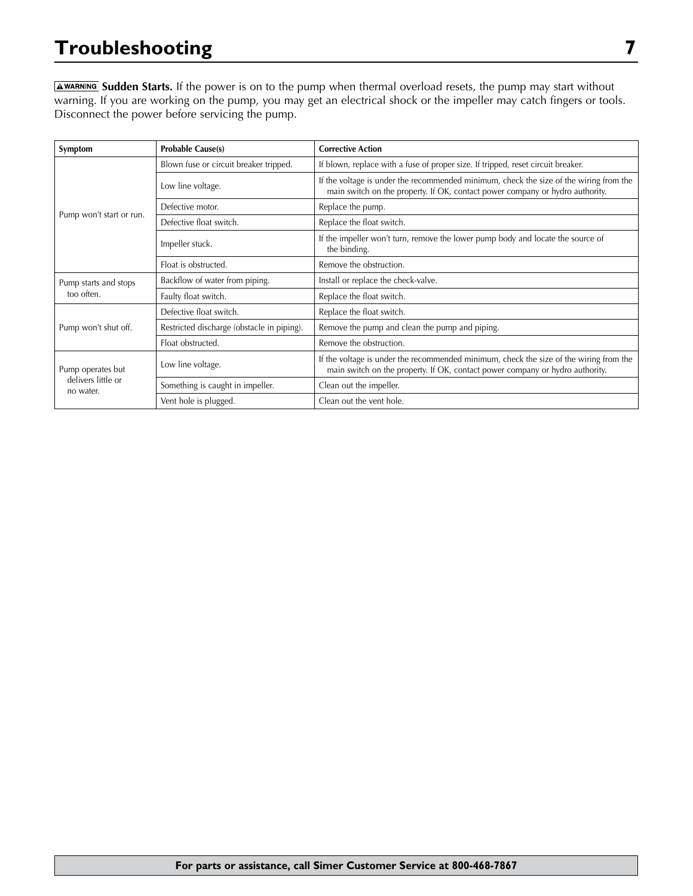# **Troubleshooting 7**

**AWARNING** Sudden Starts. If the power is on to the pump when thermal overload resets, the pump may start without warning. If you are working on the pump, you may get an electrical shock or the impeller may catch fingers or tools. Disconnect the power before servicing the pump.

| Symptom                                              | <b>Probable Cause(s)</b>                   | <b>Corrective Action</b>                                                                                                                                                |  |  |
|------------------------------------------------------|--------------------------------------------|-------------------------------------------------------------------------------------------------------------------------------------------------------------------------|--|--|
|                                                      | Blown fuse or circuit breaker tripped.     | If blown, replace with a fuse of proper size. If tripped, reset circuit breaker.                                                                                        |  |  |
|                                                      | Low line voltage.                          | If the voltage is under the recommended minimum, check the size of the wiring from the<br>main switch on the property. If OK, contact power company or hydro authority. |  |  |
|                                                      | Defective motor.                           | Replace the pump.                                                                                                                                                       |  |  |
| Pump won't start or run.                             | Defective float switch.                    | Replace the float switch.                                                                                                                                               |  |  |
|                                                      | Impeller stuck.                            | If the impeller won't turn, remove the lower pump body and locate the source of<br>the binding.                                                                         |  |  |
|                                                      | Float is obstructed.                       | Remove the obstruction.                                                                                                                                                 |  |  |
| Pump starts and stops                                | Backflow of water from piping.             | Install or replace the check-valve.                                                                                                                                     |  |  |
| too often.                                           | Faulty float switch.                       | Replace the float switch.                                                                                                                                               |  |  |
|                                                      | Defective float switch.                    | Replace the float switch.                                                                                                                                               |  |  |
| Pump won't shut off.                                 | Restricted discharge (obstacle in piping). | Remove the pump and clean the pump and piping.                                                                                                                          |  |  |
|                                                      | Float obstructed.                          | Remove the obstruction.                                                                                                                                                 |  |  |
| Pump operates but<br>delivers little or<br>no water. | Low line voltage.                          | If the voltage is under the recommended minimum, check the size of the wiring from the<br>main switch on the property. If OK, contact power company or hydro authority. |  |  |
|                                                      | Something is caught in impeller.           | Clean out the impeller.                                                                                                                                                 |  |  |
|                                                      | Vent hole is plugged.                      | Clean out the vent hole.                                                                                                                                                |  |  |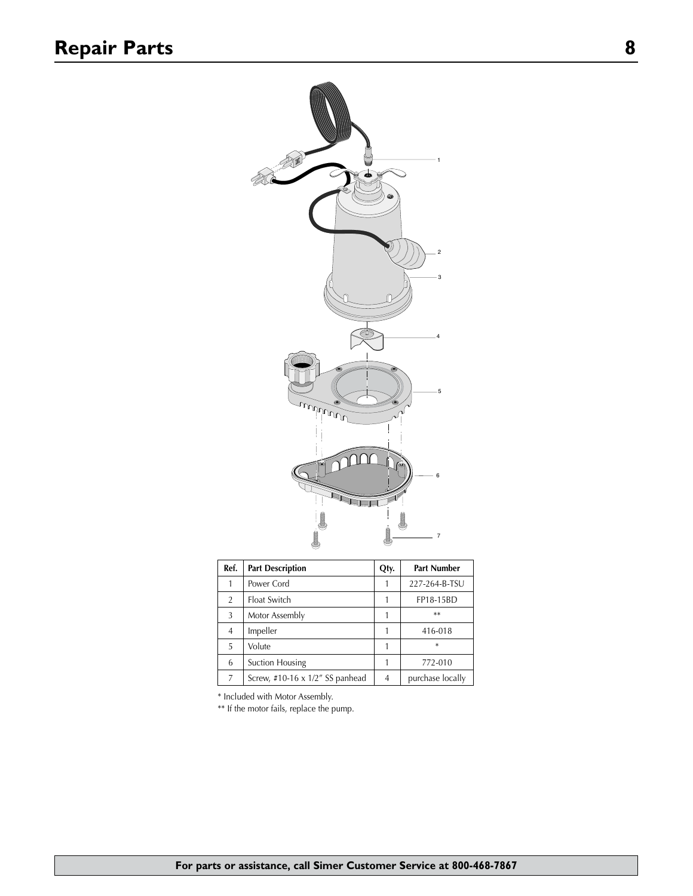

| Ref.           | <b>Part Description</b>         |   | <b>Part Number</b> |
|----------------|---------------------------------|---|--------------------|
|                | Power Cord                      |   | 227-264-B-TSU      |
| $\overline{2}$ | Float Switch                    |   | FP18-15BD          |
| 3              | Motor Assembly                  |   | $**$               |
| 4              | Impeller                        |   | 416-018            |
| 5              | Volute                          |   | $\ast$             |
| 6              | Suction Housing                 |   | 772-010            |
| 7              | Screw, #10-16 x 1/2" SS panhead | 4 | purchase locally   |

\* Included with Motor Assembly.

\*\* If the motor fails, replace the pump.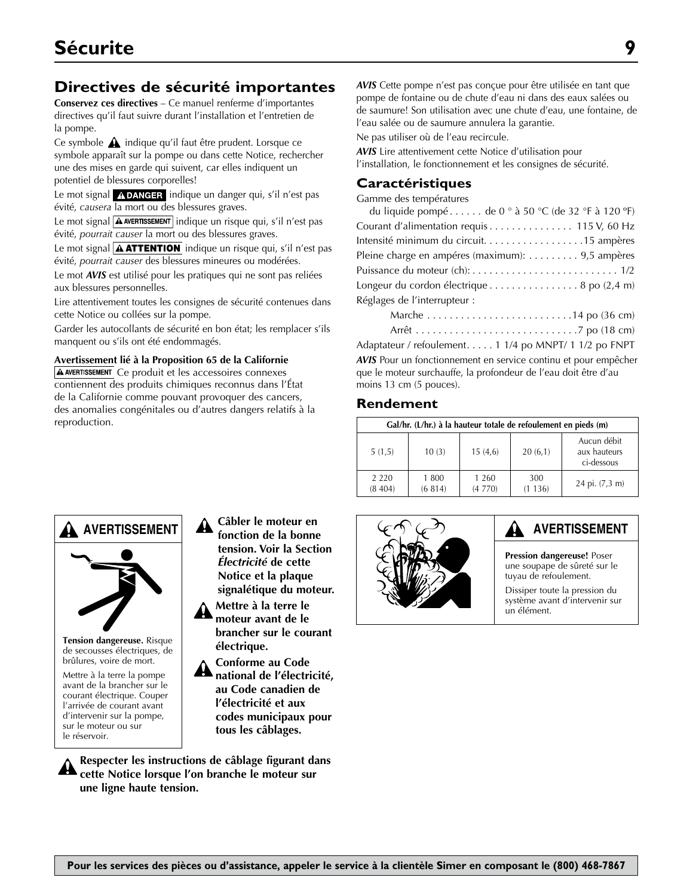# **Directives de sécurité importantes**

**Conservez ces directives** – Ce manuel renferme d'importantes directives qu'il faut suivre durant l'installation et l'entretien de la pompe.

Ce symbole  $\triangle$  indique qu'il faut être prudent. Lorsque ce symbole apparaît sur la pompe ou dans cette Notice, rechercher une des mises en garde qui suivent, car elles indiquent un potentiel de blessures corporelles!

Le mot signal  $\Lambda$ DANGER indique un danger qui, s'il n'est pas évité, *causera* la mort ou des blessures graves.

Le mot signal  $\boxed{\text{A}$  AVERTISSEMENT indique un risque qui, s'il n'est pas évité, *pourrait causer* la mort ou des blessures graves.

Le mot signal  $\boxed{\textbf{A} \textbf{ATTENTION}}$  indique un risque qui, s'il n'est pas évité, *pourrait causer* des blessures mineures ou modérées.

Le mot *AVIS* est utilisé pour les pratiques qui ne sont pas reliées aux blessures personnelles.

Lire attentivement toutes les consignes de sécurité contenues dans cette Notice ou collées sur la pompe.

Garder les autocollants de sécurité en bon état; les remplacer s'ils manquent ou s'ils ont été endommagés.

**Avertissement lié à la Proposition 65 de la Californie**

A AVERTISSEMENT Ce produit et les accessoires connexes contiennent des produits chimiques reconnus dans l'État de la Californie comme pouvant provoquer des cancers, des anomalies congénitales ou d'autres dangers relatifs à la reproduction.

*AVIS* Cette pompe n'est pas conçue pour être utilisée en tant que pompe de fontaine ou de chute d'eau ni dans des eaux salées ou de saumure! Son utilisation avec une chute d'eau, une fontaine, de l'eau salée ou de saumure annulera la garantie.

Ne pas utiliser où de l'eau recircule.

*AVIS* Lire attentivement cette Notice d'utilisation pour l'installation, le fonctionnement et les consignes de sécurité.

### **Caractéristiques**

Gamme des températures

| du liquide pompé de 0 ° à 50 °C (de 32 °F à 120 °F) |
|-----------------------------------------------------|
| Courant d'alimentation requis 115 V, 60 Hz          |
| Intensité minimum du circuit15 ampères              |
| Pleine charge en ampéres (maximum): 9,5 ampères     |
|                                                     |
| Longeur du cordon électrique 8 po (2,4 m)           |
| Réglages de l'interrupteur :                        |
|                                                     |
|                                                     |
|                                                     |

Adaptateur / refoulement. . . . . 1 1/4 po MNPT/ 1 1/2 po FNPT *AVIS* Pour un fonctionnement en service continu et pour empêcher que le moteur surchauffe, la profondeur de l'eau doit être d'au moins 13 cm (5 pouces).

### **Rendement**

| Gal/hr. (L/hr.) à la hauteur totale de refoulement en pieds (m) |                  |                   |               |                                           |
|-----------------------------------------------------------------|------------------|-------------------|---------------|-------------------------------------------|
| 5(1,5)                                                          | 10(3)            | 15(4,6)           | 20(6,1)       | Aucun débit<br>aux hauteurs<br>ci-dessous |
| 2 2 2 0<br>(8404)                                               | 1 800<br>(6 814) | 1 2 6 0<br>(4770) | 300<br>(1136) | 24 pi. (7,3 m)                            |



# **AVERTISSEMENT**

**Pression dangereuse!** Poser une soupape de sûreté sur le tuyau de refoulement.

Dissiper toute la pression du système avant d'intervenir sur un élément.



**Tension dangereuse.** Risque de secousses électriques, de brûlures, voire de mort.

Mettre à la terre la pompe avant de la brancher sur le courant électrique. Couper l'arrivée de courant avant d'intervenir sur la pompe, sur le moteur ou sur le réservoir.

**Câbler le moteur en fonction de la bonne tension. Voir la Section**  *Électricité* **de cette Notice et la plaque signalétique du moteur. Mettre à la terre le moteur avant de le brancher sur le courant** 

**électrique. Conforme au Code national de l'électricité, au Code canadien de l'électricité et aux codes municipaux pour tous les câblages.**

**Respecter les instructions de câblage figurant dans cette Notice lorsque l'on branche le moteur sur une ligne haute tension.**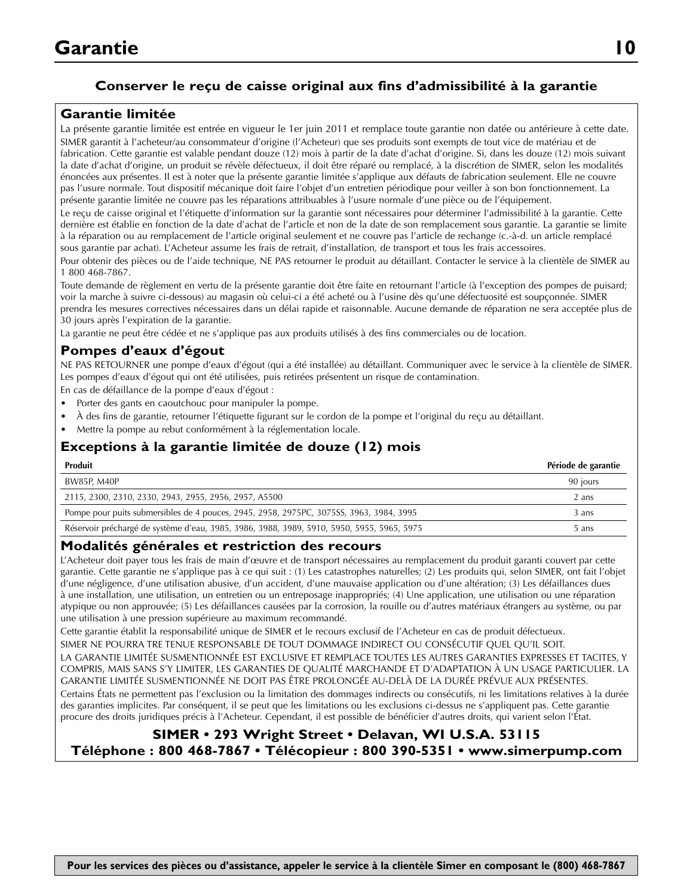# **Conserver le reçu de caisse original aux fins d'admissibilité à la garantie**

# **Garantie limitée**

La présente garantie limitée est entrée en vigueur le 1er juin 2011 et remplace toute garantie non datée ou antérieure à cette date. SIMER garantit à l'acheteur/au consommateur d'origine (l'Acheteur) que ses produits sont exempts de tout vice de matériau et de fabrication. Cette garantie est valable pendant douze (12) mois à partir de la date d'achat d'origine. Si, dans les douze (12) mois suivant la date d'achat d'origine, un produit se révèle défectueux, il doit être réparé ou remplacé, à la discrétion de SIMER, selon les modalités énoncées aux présentes. Il est à noter que la présente garantie limitée s'applique aux défauts de fabrication seulement. Elle ne couvre pas l'usure normale. Tout dispositif mécanique doit faire l'objet d'un entretien périodique pour veiller à son bon fonctionnement. La présente garantie limitée ne couvre pas les réparations attribuables à l'usure normale d'une pièce ou de l'équipement.

Le reçu de caisse original et l'étiquette d'information sur la garantie sont nécessaires pour déterminer l'admissibilité à la garantie. Cette dernière est établie en fonction de la date d'achat de l'article et non de la date de son remplacement sous garantie. La garantie se limite à la réparation ou au remplacement de l'article original seulement et ne couvre pas l'article de rechange (c.-à-d. un article remplacé sous garantie par achat). L'Acheteur assume les frais de retrait, d'installation, de transport et tous les frais accessoires.

Pour obtenir des pièces ou de l'aide technique, NE PAS retourner le produit au détaillant. Contacter le service à la clientèle de SIMER au 1 800 468-7867.

Toute demande de règlement en vertu de la présente garantie doit être faite en retournant l'article (à l'exception des pompes de puisard; voir la marche à suivre ci-dessous) au magasin où celui-ci a été acheté ou à l'usine dès qu'une défectuosité est soupçonnée. SIMER prendra les mesures correctives nécessaires dans un délai rapide et raisonnable. Aucune demande de réparation ne sera acceptée plus de 30 jours après l'expiration de la garantie.

La garantie ne peut être cédée et ne s'applique pas aux produits utilisés à des fins commerciales ou de location.

### **Pompes d'eaux d'égout**

NE PAS RETOURNER une pompe d'eaux d'égout (qui a été installée) au détaillant. Communiquer avec le service à la clientèle de SIMER. Les pompes d'eaux d'égout qui ont été utilisées, puis retirées présentent un risque de contamination.

En cas de défaillance de la pompe d'eaux d'égout :

- Porter des gants en caoutchouc pour manipuler la pompe.
- À des fins de garantie, retourner l'étiquette figurant sur le cordon de la pompe et l'original du reçu au détaillant.
- Mettre la pompe au rebut conformément à la réglementation locale.

# **Exceptions à la garantie limitée de douze (12) mois**

| Produit                                                                                    | Période de garantie |
|--------------------------------------------------------------------------------------------|---------------------|
| BW85P, M40P                                                                                | 90 jours            |
| 2115, 2300, 2310, 2330, 2943, 2955, 2956, 2957, A5500                                      | 2 ans               |
| Pompe pour puits submersibles de 4 pouces, 2945, 2958, 2975PC, 3075SS, 3963, 3984, 3995    | 3 ans               |
| Réservoir préchargé de système d'eau, 3985, 3986, 3988, 3989, 5910, 5950, 5955, 5965, 5975 | 5 ans               |

#### **Modalités générales et restriction des recours**

L'Acheteur doit payer tous les frais de main d'œuvre et de transport nécessaires au remplacement du produit garanti couvert par cette garantie. Cette garantie ne s'applique pas à ce qui suit : (1) Les catastrophes naturelles; (2) Les produits qui, selon SIMER, ont fait l'objet d'une négligence, d'une utilisation abusive, d'un accident, d'une mauvaise application ou d'une altération; (3) Les défaillances dues à une installation, une utilisation, un entretien ou un entreposage inappropriés; (4) Une application, une utilisation ou une réparation atypique ou non approuvée; (5) Les défaillances causées par la corrosion, la rouille ou d'autres matériaux étrangers au système, ou par une utilisation à une pression supérieure au maximum recommandé.

Cette garantie établit la responsabilité unique de SIMER et le recours exclusif de l'Acheteur en cas de produit défectueux.

SIMER NE POURRA TRE TENUE RESPONSABLE DE TOUT DOMMAGE INDIRECT OU CONSÉCUTIF QUEL QU'IL SOIT. LA GARANTIE LIMITÉE SUSMENTIONNÉE EST EXCLUSIVE ET REMPLACE TOUTES LES AUTRES GARANTIES EXPRESSES ET TACITES, Y

COMPRIS, MAIS SANS S'Y LIMITER, LES GARANTIES DE QUALITÉ MARCHANDE ET D'ADAPTATION À UN USAGE PARTICULIER. LA GARANTIE LIMITÉE SUSMENTIONNÉE NE DOIT PAS ÊTRE PROLONGÉE AU-DELÀ DE LA DURÉE PRÉVUE AUX PRÉSENTES.

Certains États ne permettent pas l'exclusion ou la limitation des dommages indirects ou consécutifs, ni les limitations relatives à la durée des garanties implicites. Par conséquent, il se peut que les limitations ou les exclusions ci-dessus ne s'appliquent pas. Cette garantie procure des droits juridiques précis à l'Acheteur. Cependant, il est possible de bénéficier d'autres droits, qui varient selon l'État.

# **SIMER • 293 Wright Street • Delavan, WI U.S.A. 53115 Téléphone : 800 468-7867 • Télécopieur : 800 390-5351 • www.simerpump.com**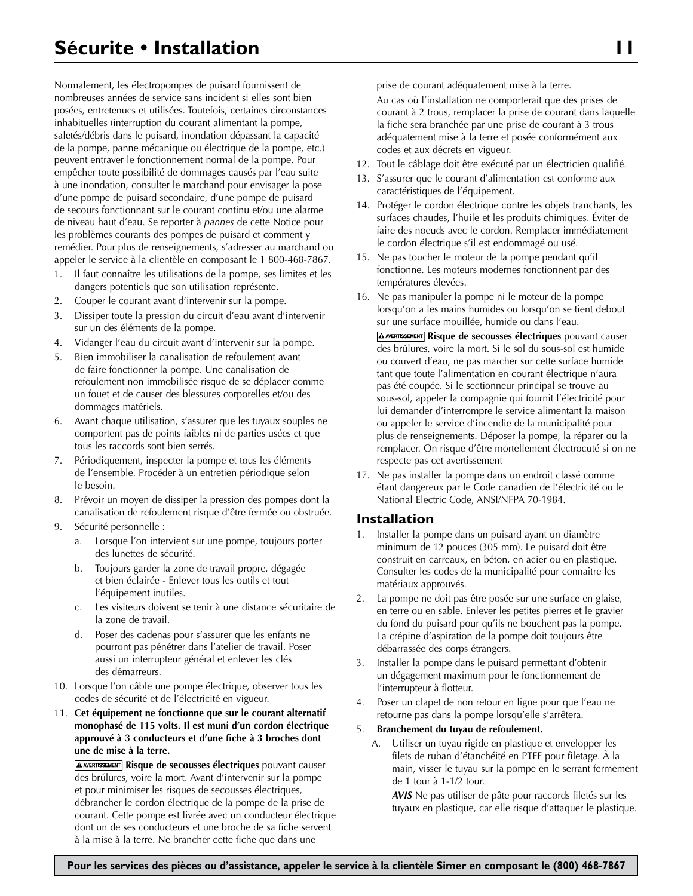Normalement, les électropompes de puisard fournissent de nombreuses années de service sans incident si elles sont bien posées, entretenues et utilisées. Toutefois, certaines circonstances inhabituelles (interruption du courant alimentant la pompe, saletés/débris dans le puisard, inondation dépassant la capacité de la pompe, panne mécanique ou électrique de la pompe, etc.) peuvent entraver le fonctionnement normal de la pompe. Pour empêcher toute possibilité de dommages causés par l'eau suite à une inondation, consulter le marchand pour envisager la pose d'une pompe de puisard secondaire, d'une pompe de puisard de secours fonctionnant sur le courant continu et/ou une alarme de niveau haut d'eau. Se reporter à *pannes* de cette Notice pour les problèmes courants des pompes de puisard et comment y remédier. Pour plus de renseignements, s'adresser au marchand ou appeler le service à la clientèle en composant le 1 800-468-7867.

- 1. Il faut connaître les utilisations de la pompe, ses limites et les dangers potentiels que son utilisation représente.
- 2. Couper le courant avant d'intervenir sur la pompe.
- 3. Dissiper toute la pression du circuit d'eau avant d'intervenir sur un des éléments de la pompe.
- 4. Vidanger l'eau du circuit avant d'intervenir sur la pompe.
- 5. Bien immobiliser la canalisation de refoulement avant de faire fonctionner la pompe. Une canalisation de refoulement non immobilisée risque de se déplacer comme un fouet et de causer des blessures corporelles et/ou des dommages matériels.
- 6. Avant chaque utilisation, s'assurer que les tuyaux souples ne comportent pas de points faibles ni de parties usées et que tous les raccords sont bien serrés.
- 7. Périodiquement, inspecter la pompe et tous les éléments de l'ensemble. Procéder à un entretien périodique selon le besoin.
- 8. Prévoir un moyen de dissiper la pression des pompes dont la canalisation de refoulement risque d'être fermée ou obstruée.
- 9. Sécurité personnelle :
	- a. Lorsque l'on intervient sur une pompe, toujours porter des lunettes de sécurité.
	- b. Toujours garder la zone de travail propre, dégagée et bien éclairée - Enlever tous les outils et tout l'équipement inutiles.
	- c. Les visiteurs doivent se tenir à une distance sécuritaire de la zone de travail.
	- d. Poser des cadenas pour s'assurer que les enfants ne pourront pas pénétrer dans l'atelier de travail. Poser aussi un interrupteur général et enlever les clés des démarreurs.
- 10. Lorsque l'on câble une pompe électrique, observer tous les codes de sécurité et de l'électricité en vigueur.
- 11. **Cet équipement ne fonctionne que sur le courant alternatif monophasé de 115 volts. Il est muni d'un cordon électrique approuvé à 3 conducteurs et d'une fiche à 3 broches dont une de mise à la terre.**

**A AVERTISSEMENT** Risque de secousses électriques pouvant causer des brúlures, voire la mort. Avant d'intervenir sur la pompe et pour minimiser les risques de secousses électriques, débrancher le cordon électrique de la pompe de la prise de courant. Cette pompe est livrée avec un conducteur électrique dont un de ses conducteurs et une broche de sa fiche servent à la mise à la terre. Ne brancher cette fiche que dans une

prise de courant adéquatement mise à la terre.

Au cas où l'installation ne comporterait que des prises de courant à 2 trous, remplacer la prise de courant dans laquelle la fiche sera branchée par une prise de courant à 3 trous adéquatement mise à la terre et posée conformément aux codes et aux décrets en vigueur.

- 12. Tout le câblage doit être exécuté par un électricien qualifié.
- 13. S'assurer que le courant d'alimentation est conforme aux caractéristiques de l'équipement.
- 14. Protéger le cordon électrique contre les objets tranchants, les surfaces chaudes, l'huile et les produits chimiques. Éviter de faire des noeuds avec le cordon. Remplacer immédiatement le cordon électrique s'il est endommagé ou usé.
- 15. Ne pas toucher le moteur de la pompe pendant qu'il fonctionne. Les moteurs modernes fonctionnent par des températures élevées.
- 16. Ne pas manipuler la pompe ni le moteur de la pompe lorsqu'on a les mains humides ou lorsqu'on se tient debout sur une surface mouillée, humide ou dans l'eau. **A AVERTISSEMENT** Risque de secousses électriques pouvant causer des brúlures, voire la mort. Si le sol du sous-sol est humide ou couvert d'eau, ne pas marcher sur cette surface humide tant que toute l'alimentation en courant électrique n'aura pas été coupée. Si le sectionneur principal se trouve au sous-sol, appeler la compagnie qui fournit l'électricité pour lui demander d'interrompre le service alimentant la maison ou appeler le service d'incendie de la municipalité pour plus de renseignements. Déposer la pompe, la réparer ou la remplacer. On risque d'être mortellement électrocuté si on ne respecte pas cet avertissement
- 17. Ne pas installer la pompe dans un endroit classé comme étant dangereux par le Code canadien de l'électricité ou le National Electric Code, ANSI/NFPA 70-1984.

#### **Installation**

- 1. Installer la pompe dans un puisard ayant un diamètre minimum de 12 pouces (305 mm). Le puisard doit être construit en carreaux, en béton, en acier ou en plastique. Consulter les codes de la municipalité pour connaître les matériaux approuvés.
- 2. La pompe ne doit pas être posée sur une surface en glaise, en terre ou en sable. Enlever les petites pierres et le gravier du fond du puisard pour qu'ils ne bouchent pas la pompe. La crépine d'aspiration de la pompe doit toujours être débarrassée des corps étrangers.
- Installer la pompe dans le puisard permettant d'obtenir un dégagement maximum pour le fonctionnement de l'interrupteur à flotteur.
- 4. Poser un clapet de non retour en ligne pour que l'eau ne retourne pas dans la pompe lorsqu'elle s'arrêtera.

#### 5. **Branchement du tuyau de refoulement.**

A. Utiliser un tuyau rigide en plastique et envelopper les filets de ruban d'étanchéité en PTFE pour filetage. À la main, visser le tuyau sur la pompe en le serrant fermement de 1 tour à 1-1/2 tour.

 *AVIS* Ne pas utiliser de pâte pour raccords filetés sur les tuyaux en plastique, car elle risque d'attaquer le plastique.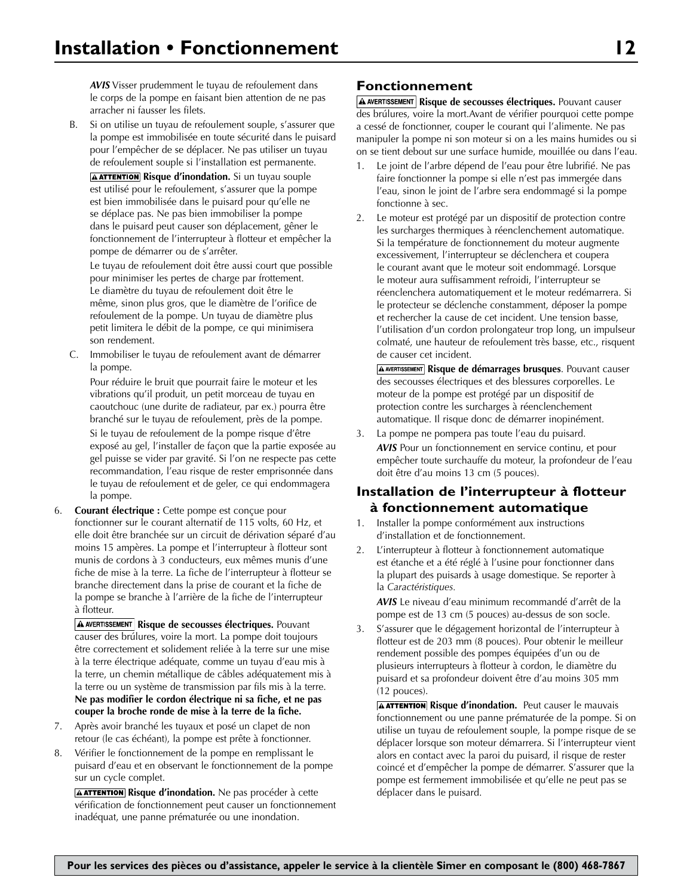*AVIS* Visser prudemment le tuyau de refoulement dans le corps de la pompe en faisant bien attention de ne pas arracher ni fausser les filets.

B. Si on utilise un tuyau de refoulement souple, s'assurer que la pompe est immobilisée en toute sécurité dans le puisard pour l'empêcher de se déplacer. Ne pas utiliser un tuyau de refoulement souple si l'installation est permanente.

**A ATTENTION** Risque d'inondation. Si un tuyau souple est utilisé pour le refoulement, s'assurer que la pompe est bien immobilisée dans le puisard pour qu'elle ne se déplace pas. Ne pas bien immobiliser la pompe dans le puisard peut causer son déplacement, gêner le fonctionnement de l'interrupteur à flotteur et empêcher la pompe de démarrer ou de s'arrêter.

 Le tuyau de refoulement doit être aussi court que possible pour minimiser les pertes de charge par frottement. Le diamètre du tuyau de refoulement doit être le même, sinon plus gros, que le diamètre de l'orifice de refoulement de la pompe. Un tuyau de diamètre plus petit limitera le débit de la pompe, ce qui minimisera son rendement.

C. Immobiliser le tuyau de refoulement avant de démarrer la pompe.

 Pour réduire le bruit que pourrait faire le moteur et les vibrations qu'il produit, un petit morceau de tuyau en caoutchouc (une durite de radiateur, par ex.) pourra être branché sur le tuyau de refoulement, près de la pompe.

 Si le tuyau de refoulement de la pompe risque d'être exposé au gel, l'installer de façon que la partie exposée au gel puisse se vider par gravité. Si l'on ne respecte pas cette recommandation, l'eau risque de rester emprisonnée dans le tuyau de refoulement et de geler, ce qui endommagera la pompe.

6. **Courant électrique :** Cette pompe est conçue pour fonctionner sur le courant alternatif de 115 volts, 60 Hz, et elle doit être branchée sur un circuit de dérivation séparé d'au moins 15 ampères. La pompe et l'interrupteur à flotteur sont munis de cordons à 3 conducteurs, eux mêmes munis d'une fiche de mise à la terre. La fiche de l'interrupteur à flotteur se branche directement dans la prise de courant et la fiche de la pompe se branche à l'arrière de la fiche de l'interrupteur à flotteur.

**A AVERTISSEMENT Risque de secousses électriques.** Pouvant causer des brúlures, voire la mort. La pompe doit toujours être correctement et solidement reliée à la terre sur une mise à la terre électrique adéquate, comme un tuyau d'eau mis à la terre, un chemin métallique de câbles adéquatement mis à la terre ou un système de transmission par fils mis à la terre. **Ne pas modifier le cordon électrique ni sa fiche, et ne pas couper la broche ronde de mise à la terre de la fiche.**

- 7. Après avoir branché les tuyaux et posé un clapet de non retour (le cas échéant), la pompe est prête à fonctionner.
- 8. Vérifier le fonctionnement de la pompe en remplissant le puisard d'eau et en observant le fonctionnement de la pompe sur un cycle complet.

**AATTENTION** Risque d'inondation. Ne pas procéder à cette vérification de fonctionnement peut causer un fonctionnement inadéquat, une panne prématurée ou une inondation.

### **Fonctionnement**

**A AVERTISSEMENT Risque de secousses électriques.** Pouvant causer des brúlures, voire la mort.Avant de vérifier pourquoi cette pompe a cessé de fonctionner, couper le courant qui l'alimente. Ne pas manipuler la pompe ni son moteur si on a les mains humides ou si on se tient debout sur une surface humide, mouillée ou dans l'eau.

- Le joint de l'arbre dépend de l'eau pour être lubrifié. Ne pas faire fonctionner la pompe si elle n'est pas immergée dans l'eau, sinon le joint de l'arbre sera endommagé si la pompe fonctionne à sec.
- 2. Le moteur est protégé par un dispositif de protection contre les surcharges thermiques à réenclenchement automatique. Si la température de fonctionnement du moteur augmente excessivement, l'interrupteur se déclenchera et coupera le courant avant que le moteur soit endommagé. Lorsque le moteur aura suffisamment refroidi, l'interrupteur se réenclenchera automatiquement et le moteur redémarrera. Si le protecteur se déclenche constamment, déposer la pompe et rechercher la cause de cet incident. Une tension basse, l'utilisation d'un cordon prolongateur trop long, un impulseur colmaté, une hauteur de refoulement très basse, etc., risquent de causer cet incident.

**A AVERTISSEMENT** Risque de démarrages brusques. Pouvant causer des secousses électriques et des blessures corporelles. Le moteur de la pompe est protégé par un dispositif de protection contre les surcharges à réenclenchement automatique. Il risque donc de démarrer inopinément.

3. La pompe ne pompera pas toute l'eau du puisard. *AVIS* Pour un fonctionnement en service continu, et pour empêcher toute surchauffe du moteur, la profondeur de l'eau doit être d'au moins 13 cm (5 pouces).

### **Installation de l'interrupteur à flotteur à fonctionnement automatique**

- 1. Installer la pompe conformément aux instructions d'installation et de fonctionnement.
- 2. L'interrupteur à flotteur à fonctionnement automatique est étanche et a été réglé à l'usine pour fonctionner dans la plupart des puisards à usage domestique. Se reporter à la *Caractéristiques.*

*AVIS* Le niveau d'eau minimum recommandé d'arrêt de la pompe est de 13 cm (5 pouces) au-dessus de son socle.

3. S'assurer que le dégagement horizontal de l'interrupteur à flotteur est de 203 mm (8 pouces). Pour obtenir le meilleur rendement possible des pompes équipées d'un ou de plusieurs interrupteurs à flotteur à cordon, le diamètre du puisard et sa profondeur doivent être d'au moins 305 mm (12 pouces).

**A ATTENTION** Risque d'inondation. Peut causer le mauvais fonctionnement ou une panne prématurée de la pompe. Si on utilise un tuyau de refoulement souple, la pompe risque de se déplacer lorsque son moteur démarrera. Si l'interrupteur vient alors en contact avec la paroi du puisard, il risque de rester coincé et d'empêcher la pompe de démarrer. S'assurer que la pompe est fermement immobilisée et qu'elle ne peut pas se déplacer dans le puisard.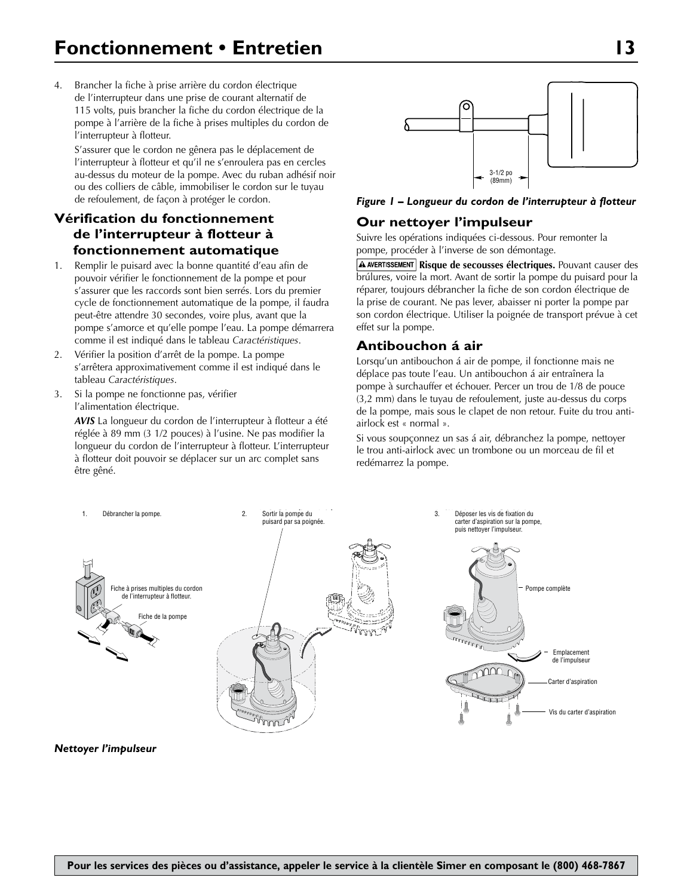4. Brancher la fiche à prise arrière du cordon électrique de l'interrupteur dans une prise de courant alternatif de 115 volts, puis brancher la fiche du cordon électrique de la pompe à l'arrière de la fiche à prises multiples du cordon de l'interrupteur à flotteur.

S'assurer que le cordon ne gênera pas le déplacement de l'interrupteur à flotteur et qu'il ne s'enroulera pas en cercles au-dessus du moteur de la pompe. Avec du ruban adhésif noir ou des colliers de câble, immobiliser le cordon sur le tuyau de refoulement, de façon à protéger le cordon.

# **Vérification du fonctionnement de l'interrupteur à flotteur à fonctionnement automatique**

- 1. Remplir le puisard avec la bonne quantité d'eau afin de pouvoir vérifier le fonctionnement de la pompe et pour s'assurer que les raccords sont bien serrés. Lors du premier cycle de fonctionnement automatique de la pompe, il faudra peut-être attendre 30 secondes, voire plus, avant que la pompe s'amorce et qu'elle pompe l'eau. La pompe démarrera comme il est indiqué dans le tableau *Caractéristiques*.
- 2. Vérifier la position d'arrêt de la pompe. La pompe s'arrêtera approximativement comme il est indiqué dans le tableau *Caractéristiques*.
- 3. Si la pompe ne fonctionne pas, vérifier l'alimentation électrique.

*AVIS* La longueur du cordon de l'interrupteur à flotteur a été réglée à 89 mm (3 1/2 pouces) à l'usine. Ne pas modifier la longueur du cordon de l'interrupteur à flotteur. L'interrupteur à flotteur doit pouvoir se déplacer sur un arc complet sans être gêné.



#### *Figure 1 – Longueur du cordon de l'interrupteur à flotteur*

### **Our nettoyer l'impulseur**

Suivre les opérations indiquées ci-dessous. Pour remonter la pompe, procéder à l'inverse de son démontage.

**A AVERTISSEMENT Risque de secousses électriques.** Pouvant causer des brúlures, voire la mort. Avant de sortir la pompe du puisard pour la réparer, toujours débrancher la fiche de son cordon électrique de la prise de courant. Ne pas lever, abaisser ni porter la pompe par son cordon électrique. Utiliser la poignée de transport prévue à cet effet sur la pompe.

# **Antibouchon á air**

Lorsqu'un antibouchon á air de pompe, il fonctionne mais ne déplace pas toute l'eau. Un antibouchon á air entraînera la pompe à surchauffer et échouer. Percer un trou de 1/8 de pouce (3,2 mm) dans le tuyau de refoulement, juste au-dessus du corps de la pompe, mais sous le clapet de non retour. Fuite du trou antiairlock est « normal ».

Si vous soupçonnez un sas á air, débranchez la pompe, nettoyer le trou anti-airlock avec un trombone ou un morceau de fil et redémarrez la pompe.



#### **Nettoyer l'impulseur**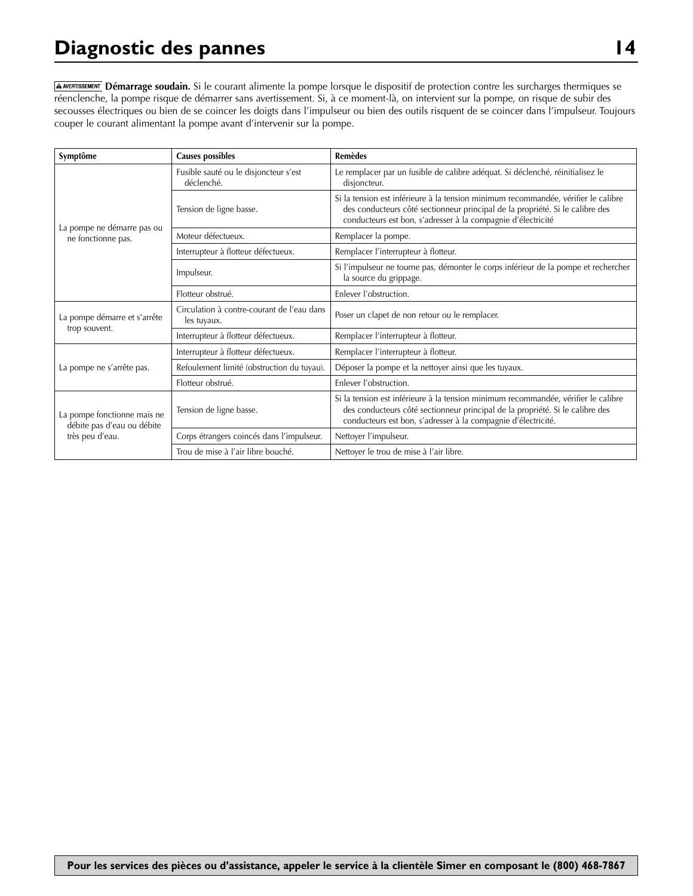# **Diagnostic des pannes 14**

**Démarrage soudain.** Si le courant alimente la pompe lorsque le dispositif de protection contre les surcharges thermiques se réenclenche, la pompe risque de démarrer sans avertissement. Si, à ce moment-là, on intervient sur la pompe, on risque de subir des secousses électriques ou bien de se coincer les doigts dans l'impulseur ou bien des outils risquent de se coincer dans l'impulseur. Toujours couper le courant alimentant la pompe avant d'intervenir sur la pompe.

| Symptôme                                                  | <b>Causes possibles</b>                                   | <b>Remèdes</b>                                                                                                                                                                                                                       |  |  |
|-----------------------------------------------------------|-----------------------------------------------------------|--------------------------------------------------------------------------------------------------------------------------------------------------------------------------------------------------------------------------------------|--|--|
|                                                           | Fusible sauté ou le disjoncteur s'est<br>déclenché.       | Le remplacer par un fusible de calibre adéquat. Si déclenché, réinitialisez le<br>disjoncteur.                                                                                                                                       |  |  |
|                                                           | Tension de ligne basse.                                   | Si la tension est inférieure à la tension minimum recommandée, vérifier le calibre<br>des conducteurs côté sectionneur principal de la propriété. Si le calibre des<br>conducteurs est bon, s'adresser à la compagnie d'électricité  |  |  |
| La pompe ne démarre pas ou<br>ne fonctionne pas.          | Moteur défectueux.                                        | Remplacer la pompe.                                                                                                                                                                                                                  |  |  |
|                                                           | Interrupteur à flotteur défectueux.                       | Remplacer l'interrupteur à flotteur.                                                                                                                                                                                                 |  |  |
|                                                           | Impulseur.                                                | Si l'impulseur ne tourne pas, démonter le corps inférieur de la pompe et rechercher<br>la source du grippage.                                                                                                                        |  |  |
|                                                           | Flotteur obstrué.                                         | Enlever l'obstruction.                                                                                                                                                                                                               |  |  |
| La pompe démarre et s'arrête                              | Circulation à contre-courant de l'eau dans<br>les tuyaux. | Poser un clapet de non retour ou le remplacer.                                                                                                                                                                                       |  |  |
| trop souvent.                                             | Interrupteur à flotteur défectueux.                       | Remplacer l'interrupteur à flotteur.                                                                                                                                                                                                 |  |  |
|                                                           | Interrupteur à flotteur défectueux.                       | Remplacer l'interrupteur à flotteur.                                                                                                                                                                                                 |  |  |
| La pompe ne s'arrête pas.                                 | Refoulement limité (obstruction du tuyau).                | Déposer la pompe et la nettoyer ainsi que les tuyaux.                                                                                                                                                                                |  |  |
|                                                           | Flotteur obstrué.                                         | Enlever l'obstruction.                                                                                                                                                                                                               |  |  |
| La pompe fonctionne mais ne<br>débite pas d'eau ou débite | Tension de ligne basse.                                   | Si la tension est inférieure à la tension minimum recommandée, vérifier le calibre<br>des conducteurs côté sectionneur principal de la propriété. Si le calibre des<br>conducteurs est bon, s'adresser à la compagnie d'électricité. |  |  |
| très peu d'eau.                                           | Corps étrangers coincés dans l'impulseur.                 | Nettoyer l'impulseur.                                                                                                                                                                                                                |  |  |
|                                                           | Trou de mise à l'air libre bouché.                        | Nettoyer le trou de mise à l'air libre.                                                                                                                                                                                              |  |  |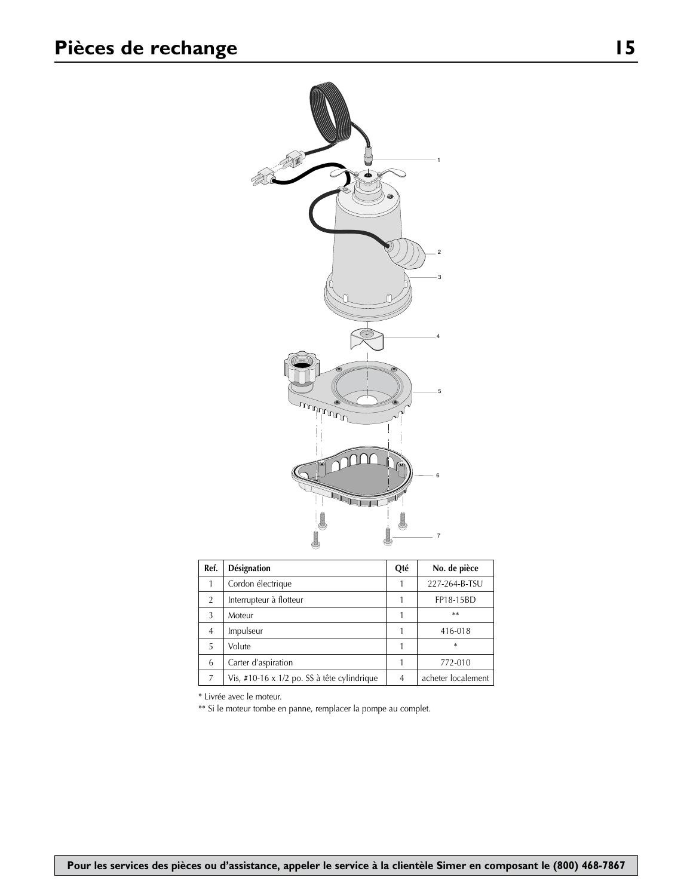

| Ref.           | <b>Désignation</b>                            |  | No. de pièce       |
|----------------|-----------------------------------------------|--|--------------------|
|                | Cordon électrique                             |  | 227-264-B-TSU      |
| $\overline{2}$ | Interrupteur à flotteur                       |  | FP18-15BD          |
| 3              | Moteur                                        |  | **                 |
| $\overline{4}$ | Impulseur                                     |  | 416-018            |
| 5              | Volute                                        |  | $\ast$             |
| 6              | Carter d'aspiration                           |  | 772-010            |
| 7              | Vis, #10-16 x $1/2$ po. SS à tête cylindrique |  | acheter localement |

\* Livrée avec le moteur.

\*\* Si le moteur tombe en panne, remplacer la pompe au complet.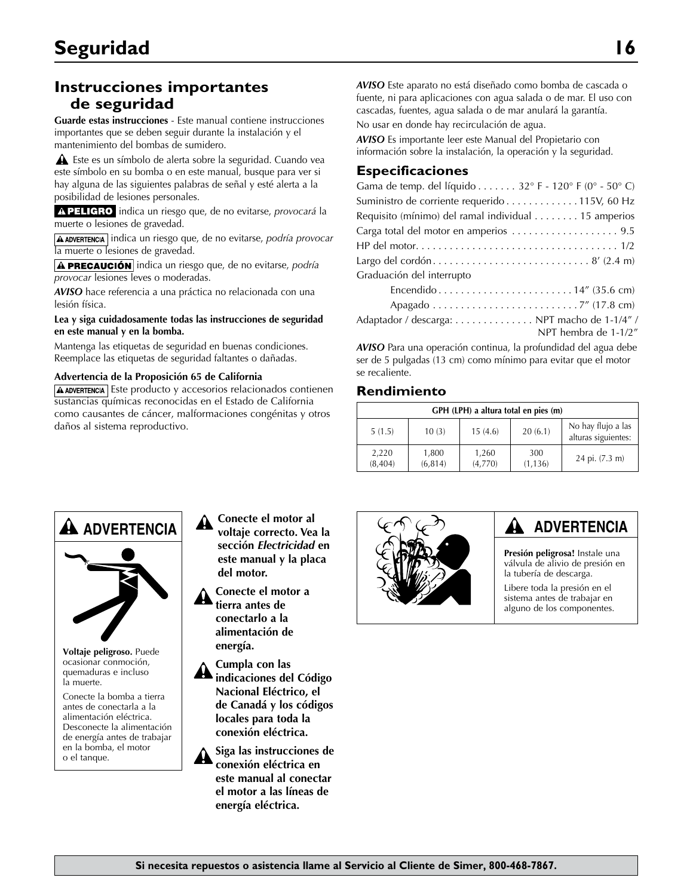# **Instrucciones importantes de seguridad**

**Guarde estas instrucciones** - Este manual contiene instrucciones importantes que se deben seguir durante la instalación y el mantenimiento del bombas de sumidero.

 Este es un símbolo de alerta sobre la seguridad. Cuando vea este símbolo en su bomba o en este manual, busque para ver si hay alguna de las siguientes palabras de señal y esté alerta a la posibilidad de lesiones personales.

A PELIGRO indica un riesgo que, de no evitarse, *provocará* la muerte o lesiones de gravedad.

**A ADVERTENCIA** indica un riesgo que, de no evitarse, *podría provocar* la muerte o lesiones de gravedad.

**A PRECAUCIÓN** indica un riesgo que, de no evitarse, *podría provocar* lesiones leves o moderadas.

*AVISO* hace referencia a una práctica no relacionada con una lesión física.

**Lea y siga cuidadosamente todas las instrucciones de seguridad en este manual y en la bomba.**

Mantenga las etiquetas de seguridad en buenas condiciones. Reemplace las etiquetas de seguridad faltantes o dañadas.

#### **Advertencia de la Proposición 65 de California**

 $A$  ADVERTENCIA Este producto y accesorios relacionados contienen sustancias químicas reconocidas en el Estado de California como causantes de cáncer, malformaciones congénitas y otros daños al sistema reproductivo.

*AVISO* Este aparato no está diseñado como bomba de cascada o fuente, ni para aplicaciones con agua salada o de mar. El uso con cascadas, fuentes, agua salada o de mar anulará la garantía. No usar en donde hay recirculación de agua.

*AVISO* Es importante leer este Manual del Propietario con información sobre la instalación, la operación y la seguridad.

#### **Especificaciones**

*AVISO* Para una operación continua, la profundidad del agua debe ser de 5 pulgadas (13 cm) como mínimo para evitar que el motor se recaliente.

### **Rendimiento**

| GPH (LPH) a altura total en pies (m) |                   |                  |                 |                                           |
|--------------------------------------|-------------------|------------------|-----------------|-------------------------------------------|
| 5(1.5)                               | 10(3)             | 15(4.6)          | 20(6.1)         | No hay flujo a las<br>alturas siguientes: |
| 2,220<br>(8,404)                     | 1,800<br>(6, 814) | 1,260<br>(4,770) | 300<br>(1, 136) | 24 pi. (7.3 m)                            |



**Voltaje peligroso.** Puede ocasionar conmoción, quemaduras e incluso la muerte.

Conecte la bomba a tierra antes de conectarla a la alimentación eléctrica. Desconecte la alimentación de energía antes de trabajar en la bomba, el motor o el tanque.

- **Conecte el motor al voltaje correcto. Vea la sección** *Electricidad* **en este manual y la placa del motor.**
- **Conecte el motor a tierra antes de conectarlo a la alimentación de energía.**

**Cumpla con las indicaciones del Código Nacional Eléctrico, el de Canadá y los códigos locales para toda la conexión eléctrica.**

**Siga las instrucciones de conexión eléctrica en este manual al conectar el motor a las líneas de energía eléctrica.**



# **ADVERTENCIA**

**Presión peligrosa!** Instale una válvula de alivio de presión en la tubería de descarga.

Libere toda la presión en el sistema antes de trabajar en alguno de los componentes.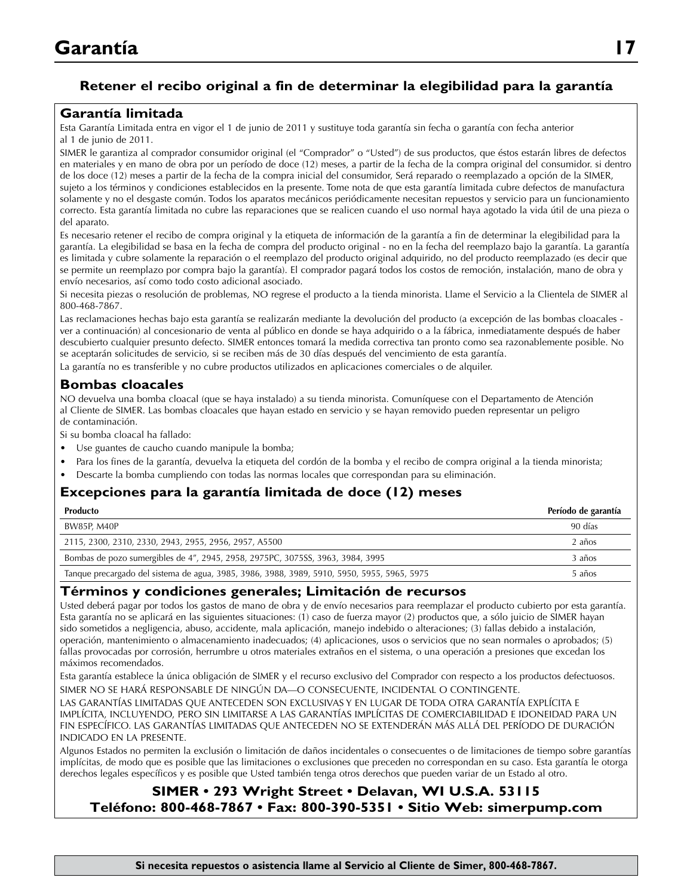# **Retener el recibo original a fin de determinar la elegibilidad para la garantía**

### **Garantía limitada**

Esta Garantía Limitada entra en vigor el 1 de junio de 2011 y sustituye toda garantía sin fecha o garantía con fecha anterior al 1 de junio de 2011.

SIMER le garantiza al comprador consumidor original (el "Comprador" o "Usted") de sus productos, que éstos estarán libres de defectos en materiales y en mano de obra por un período de doce (12) meses, a partir de la fecha de la compra original del consumidor. si dentro de los doce (12) meses a partir de la fecha de la compra inicial del consumidor, Será reparado o reemplazado a opción de la SIMER, sujeto a los términos y condiciones establecidos en la presente. Tome nota de que esta garantía limitada cubre defectos de manufactura solamente y no el desgaste común. Todos los aparatos mecánicos periódicamente necesitan repuestos y servicio para un funcionamiento correcto. Esta garantía limitada no cubre las reparaciones que se realicen cuando el uso normal haya agotado la vida útil de una pieza o del aparato.

Es necesario retener el recibo de compra original y la etiqueta de información de la garantía a fin de determinar la elegibilidad para la garantía. La elegibilidad se basa en la fecha de compra del producto original - no en la fecha del reemplazo bajo la garantía. La garantía es limitada y cubre solamente la reparación o el reemplazo del producto original adquirido, no del producto reemplazado (es decir que se permite un reemplazo por compra bajo la garantía). El comprador pagará todos los costos de remoción, instalación, mano de obra y envío necesarios, así como todo costo adicional asociado.

Si necesita piezas o resolución de problemas, NO regrese el producto a la tienda minorista. Llame el Servicio a la Clientela de SIMER al 800-468-7867.

Las reclamaciones hechas bajo esta garantía se realizarán mediante la devolución del producto (a excepción de las bombas cloacales ver a continuación) al concesionario de venta al público en donde se haya adquirido o a la fábrica, inmediatamente después de haber descubierto cualquier presunto defecto. SIMER entonces tomará la medida correctiva tan pronto como sea razonablemente posible. No se aceptarán solicitudes de servicio, si se reciben más de 30 días después del vencimiento de esta garantía.

La garantía no es transferible y no cubre productos utilizados en aplicaciones comerciales o de alquiler.

#### **Bombas cloacales**

NO devuelva una bomba cloacal (que se haya instalado) a su tienda minorista. Comuníquese con el Departamento de Atención al Cliente de SIMER. Las bombas cloacales que hayan estado en servicio y se hayan removido pueden representar un peligro de contaminación.

Si su bomba cloacal ha fallado:

- Use guantes de caucho cuando manipule la bomba;
- Para los fines de la garantía, devuelva la etiqueta del cordón de la bomba y el recibo de compra original a la tienda minorista;
- Descarte la bomba cumpliendo con todas las normas locales que correspondan para su eliminación.

## **Excepciones para la garantía limitada de doce (12) meses**

| <b>Producto</b>                                                                             | Período de garantía |
|---------------------------------------------------------------------------------------------|---------------------|
| BW85P, M40P                                                                                 | 90 días             |
| 2115, 2300, 2310, 2330, 2943, 2955, 2956, 2957, A5500                                       | 2 años              |
| Bombas de pozo sumergibles de 4", 2945, 2958, 2975PC, 3075SS, 3963, 3984, 3995              | 3 años              |
| Tanque precargado del sistema de agua, 3985, 3986, 3988, 3989, 5910, 5950, 5955, 5965, 5975 | 5 años              |

#### **Términos y condiciones generales; Limitación de recursos**

Usted deberá pagar por todos los gastos de mano de obra y de envío necesarios para reemplazar el producto cubierto por esta garantía. Esta garantía no se aplicará en las siguientes situaciones: (1) caso de fuerza mayor (2) productos que, a sólo juicio de SIMER hayan sido sometidos a negligencia, abuso, accidente, mala aplicación, manejo indebido o alteraciones; (3) fallas debido a instalación, operación, mantenimiento o almacenamiento inadecuados; (4) aplicaciones, usos o servicios que no sean normales o aprobados; (5) fallas provocadas por corrosión, herrumbre u otros materiales extraños en el sistema, o una operación a presiones que excedan los máximos recomendados.

Esta garantía establece la única obligación de SIMER y el recurso exclusivo del Comprador con respecto a los productos defectuosos. SIMER NO SE HARÁ RESPONSABLE DE NINGÚN DA—O CONSECUENTE, INCIDENTAL O CONTINGENTE.

LAS GARANTÍAS LIMITADAS QUE ANTECEDEN SON EXCLUSIVAS Y EN LUGAR DE TODA OTRA GARANTÍA EXPLÍCITA E IMPLÍCITA, INCLUYENDO, PERO SIN LIMITARSE A LAS GARANTÍAS IMPLÍCITAS DE COMERCIABILIDAD E IDONEIDAD PARA UN FIN ESPECÍFICO. LAS GARANTÍAS LIMITADAS QUE ANTECEDEN NO SE EXTENDERÁN MÁS ALLÁ DEL PERÍODO DE DURACIÓN INDICADO EN LA PRESENTE.

Algunos Estados no permiten la exclusión o limitación de daños incidentales o consecuentes o de limitaciones de tiempo sobre garantías implícitas, de modo que es posible que las limitaciones o exclusiones que preceden no correspondan en su caso. Esta garantía le otorga derechos legales específicos y es posible que Usted también tenga otros derechos que pueden variar de un Estado al otro.

# **SIMER • 293 Wright Street • Delavan, WI U.S.A. 53115 Teléfono: 800-468-7867 • Fax: 800-390-5351 • Sitio Web: simerpump.com**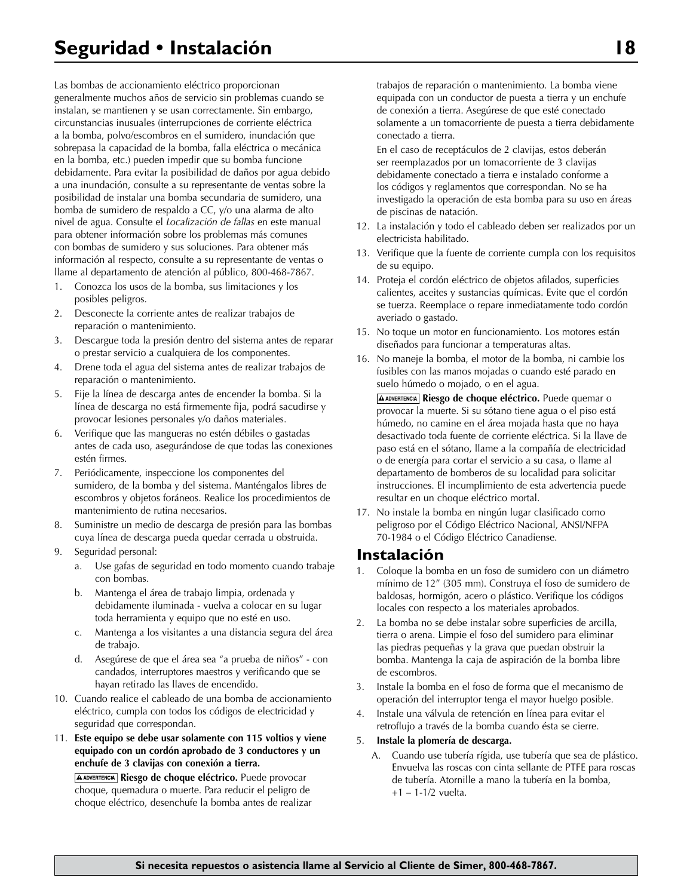Las bombas de accionamiento eléctrico proporcionan generalmente muchos años de servicio sin problemas cuando se instalan, se mantienen y se usan correctamente. Sin embargo, circunstancias inusuales (interrupciones de corriente eléctrica a la bomba, polvo/escombros en el sumidero, inundación que sobrepasa la capacidad de la bomba, falla eléctrica o mecánica en la bomba, etc.) pueden impedir que su bomba funcione debidamente. Para evitar la posibilidad de daños por agua debido a una inundación, consulte a su representante de ventas sobre la posibilidad de instalar una bomba secundaria de sumidero, una bomba de sumidero de respaldo a CC, y/o una alarma de alto nivel de agua. Consulte el *Localización de fallas* en este manual para obtener información sobre los problemas más comunes con bombas de sumidero y sus soluciones. Para obtener más información al respecto, consulte a su representante de ventas o llame al departamento de atención al público, 800-468-7867.

- 1. Conozca los usos de la bomba, sus limitaciones y los posibles peligros.
- 2. Desconecte la corriente antes de realizar trabajos de reparación o mantenimiento.
- 3. Descargue toda la presión dentro del sistema antes de reparar o prestar servicio a cualquiera de los componentes.
- 4. Drene toda el agua del sistema antes de realizar trabajos de reparación o mantenimiento.
- 5. Fije la línea de descarga antes de encender la bomba. Si la línea de descarga no está firmemente fija, podrá sacudirse y provocar lesiones personales y/o daños materiales.
- 6. Verifique que las mangueras no estén débiles o gastadas antes de cada uso, asegurándose de que todas las conexiones estén firmes.
- 7. Periódicamente, inspeccione los componentes del sumidero, de la bomba y del sistema. Manténgalos libres de escombros y objetos foráneos. Realice los procedimientos de mantenimiento de rutina necesarios.
- 8. Suministre un medio de descarga de presión para las bombas cuya línea de descarga pueda quedar cerrada u obstruida.
- 9. Seguridad personal:
	- a. Use gafas de seguridad en todo momento cuando trabaje con bombas.
	- b. Mantenga el área de trabajo limpia, ordenada y debidamente iluminada - vuelva a colocar en su lugar toda herramienta y equipo que no esté en uso.
	- c. Mantenga a los visitantes a una distancia segura del área de trabajo.
	- d. Asegúrese de que el área sea "a prueba de niños" con candados, interruptores maestros y verificando que se hayan retirado las llaves de encendido.
- 10. Cuando realice el cableado de una bomba de accionamiento eléctrico, cumpla con todos los códigos de electricidad y seguridad que correspondan.
- 11. **Este equipo se debe usar solamente con 115 voltios y viene equipado con un cordón aprobado de 3 conductores y un enchufe de 3 clavijas con conexión a tierra.**

**Riesgo de choque eléctrico.** Puede provocar choque, quemadura o muerte. Para reducir el peligro de choque eléctrico, desenchufe la bomba antes de realizar trabajos de reparación o mantenimiento. La bomba viene equipada con un conductor de puesta a tierra y un enchufe de conexión a tierra. Asegúrese de que esté conectado solamente a un tomacorriente de puesta a tierra debidamente conectado a tierra.

En el caso de receptáculos de 2 clavijas, estos deberán ser reemplazados por un tomacorriente de 3 clavijas debidamente conectado a tierra e instalado conforme a los códigos y reglamentos que correspondan. No se ha investigado la operación de esta bomba para su uso en áreas de piscinas de natación.

- 12. La instalación y todo el cableado deben ser realizados por un electricista habilitado.
- 13. Verifique que la fuente de corriente cumpla con los requisitos de su equipo.
- 14. Proteja el cordón eléctrico de objetos afilados, superficies calientes, aceites y sustancias químicas. Evite que el cordón se tuerza. Reemplace o repare inmediatamente todo cordón averiado o gastado.
- 15. No toque un motor en funcionamiento. Los motores están diseñados para funcionar a temperaturas altas.
- 16. No maneje la bomba, el motor de la bomba, ni cambie los fusibles con las manos mojadas o cuando esté parado en suelo húmedo o mojado, o en el agua.

**Riesgo de choque eléctrico.** Puede quemar o provocar la muerte. Si su sótano tiene agua o el piso está húmedo, no camine en el área mojada hasta que no haya desactivado toda fuente de corriente eléctrica. Si la llave de paso está en el sótano, llame a la compañía de electricidad o de energía para cortar el servicio a su casa, o llame al departamento de bomberos de su localidad para solicitar instrucciones. El incumplimiento de esta advertencia puede resultar en un choque eléctrico mortal.

17. No instale la bomba en ningún lugar clasificado como peligroso por el Código Eléctrico Nacional, ANSI/NFPA 70-1984 o el Código Eléctrico Canadiense.

# **Instalación**

- 1. Coloque la bomba en un foso de sumidero con un diámetro mínimo de 12" (305 mm). Construya el foso de sumidero de baldosas, hormigón, acero o plástico. Verifique los códigos locales con respecto a los materiales aprobados.
- 2. La bomba no se debe instalar sobre superficies de arcilla, tierra o arena. Limpie el foso del sumidero para eliminar las piedras pequeñas y la grava que puedan obstruir la bomba. Mantenga la caja de aspiración de la bomba libre de escombros.
- 3. Instale la bomba en el foso de forma que el mecanismo de operación del interruptor tenga el mayor huelgo posible.
- 4. Instale una válvula de retención en línea para evitar el retroflujo a través de la bomba cuando ésta se cierre.

#### 5. **Instale la plomería de descarga.**

A. Cuando use tubería rígida, use tubería que sea de plástico. Envuelva las roscas con cinta sellante de PTFE para roscas de tubería. Atornille a mano la tubería en la bomba, +1 – 1-1/2 vuelta.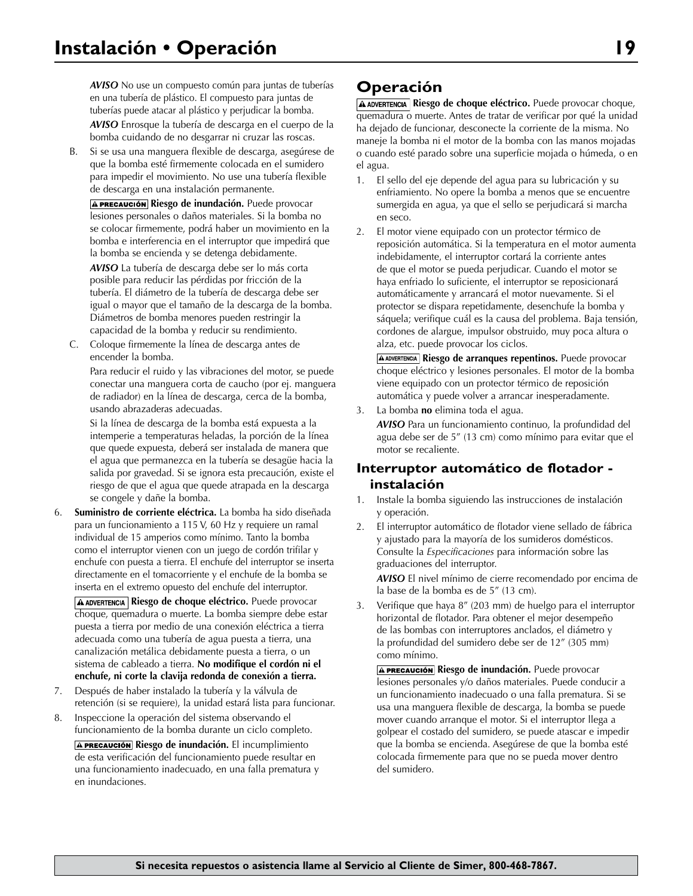*AVISO* No use un compuesto común para juntas de tuberías en una tubería de plástico. El compuesto para juntas de tuberías puede atacar al plástico y perjudicar la bomba. *AVISO* Enrosque la tubería de descarga en el cuerpo de la bomba cuidando de no desgarrar ni cruzar las roscas.

B. Si se usa una manguera flexible de descarga, asegúrese de que la bomba esté firmemente colocada en el sumidero para impedir el movimiento. No use una tubería flexible de descarga en una instalación permanente.

**A PRECAUCIÓN Riesgo de inundación.** Puede provocar lesiones personales o daños materiales. Si la bomba no se colocar firmemente, podrá haber un movimiento en la bomba e interferencia en el interruptor que impedirá que la bomba se encienda y se detenga debidamente.

 *AVISO* La tubería de descarga debe ser lo más corta posible para reducir las pérdidas por fricción de la tubería. El diámetro de la tubería de descarga debe ser igual o mayor que el tamaño de la descarga de la bomba. Diámetros de bomba menores pueden restringir la capacidad de la bomba y reducir su rendimiento.

C. Coloque firmemente la línea de descarga antes de encender la bomba.

 Para reducir el ruido y las vibraciones del motor, se puede conectar una manguera corta de caucho (por ej. manguera de radiador) en la línea de descarga, cerca de la bomba, usando abrazaderas adecuadas.

 Si la línea de descarga de la bomba está expuesta a la intemperie a temperaturas heladas, la porción de la línea que quede expuesta, deberá ser instalada de manera que el agua que permanezca en la tubería se desagüe hacia la salida por gravedad. Si se ignora esta precaución, existe el riesgo de que el agua que quede atrapada en la descarga se congele y dañe la bomba.

6. **Suministro de corriente eléctrica.** La bomba ha sido diseñada para un funcionamiento a 115 V, 60 Hz y requiere un ramal individual de 15 amperios como mínimo. Tanto la bomba como el interruptor vienen con un juego de cordón trifilar y enchufe con puesta a tierra. El enchufe del interruptor se inserta directamente en el tomacorriente y el enchufe de la bomba se inserta en el extremo opuesto del enchufe del interruptor.

**A ADVERTENCIA** Riesgo de choque eléctrico. Puede provocar choque, quemadura o muerte. La bomba siempre debe estar puesta a tierra por medio de una conexión eléctrica a tierra adecuada como una tubería de agua puesta a tierra, una canalización metálica debidamente puesta a tierra, o un sistema de cableado a tierra. **No modifique el cordón ni el enchufe, ni corte la clavija redonda de conexión a tierra.**

- 7. Después de haber instalado la tubería y la válvula de retención (si se requiere), la unidad estará lista para funcionar.
- 8. Inspeccione la operación del sistema observando el funcionamiento de la bomba durante un ciclo completo. **A PRECAUCIÓN Riesgo de inundación.** El incumplimiento de esta verificación del funcionamiento puede resultar en una funcionamiento inadecuado, en una falla prematura y en inundaciones.

# **Operación**

**A ADVERTENCIA** Riesgo de choque eléctrico. Puede provocar choque, quemadura o muerte. Antes de tratar de verificar por qué la unidad ha dejado de funcionar, desconecte la corriente de la misma. No maneje la bomba ni el motor de la bomba con las manos mojadas o cuando esté parado sobre una superficie mojada o húmeda, o en el agua.

- 1. El sello del eje depende del agua para su lubricación y su enfriamiento. No opere la bomba a menos que se encuentre sumergida en agua, ya que el sello se perjudicará si marcha en seco.
- 2. El motor viene equipado con un protector térmico de reposición automática. Si la temperatura en el motor aumenta indebidamente, el interruptor cortará la corriente antes de que el motor se pueda perjudicar. Cuando el motor se haya enfriado lo suficiente, el interruptor se reposicionará automáticamente y arrancará el motor nuevamente. Si el protector se dispara repetidamente, desenchufe la bomba y sáquela; verifique cuál es la causa del problema. Baja tensión, cordones de alargue, impulsor obstruido, muy poca altura o alza, etc. puede provocar los ciclos.

**A ADVERTENCIA** Riesgo de arranques repentinos. Puede provocar choque eléctrico y lesiones personales. El motor de la bomba viene equipado con un protector térmico de reposición automática y puede volver a arrancar inesperadamente.

3. La bomba **no** elimina toda el agua.

*AVISO* Para un funcionamiento continuo, la profundidad del agua debe ser de 5" (13 cm) como mínimo para evitar que el motor se recaliente.

## **Interruptor automático de flotador instalación**

- 1. Instale la bomba siguiendo las instrucciones de instalación y operación.
- 2. El interruptor automático de flotador viene sellado de fábrica y ajustado para la mayoría de los sumideros domésticos. Consulte la *Especificaciones* para información sobre las graduaciones del interruptor.

*AVISO* El nivel mínimo de cierre recomendado por encima de la base de la bomba es de 5" (13 cm).

3. Verifique que haya 8" (203 mm) de huelgo para el interruptor horizontal de flotador. Para obtener el mejor desempeño de las bombas con interruptores anclados, el diámetro y la profundidad del sumidero debe ser de 12" (305 mm) como mínimo.

**A PRECAUCIÓN Riesgo de inundación.** Puede provocar lesiones personales y/o daños materiales. Puede conducir a un funcionamiento inadecuado o una falla prematura. Si se usa una manguera flexible de descarga, la bomba se puede mover cuando arranque el motor. Si el interruptor llega a golpear el costado del sumidero, se puede atascar e impedir que la bomba se encienda. Asegúrese de que la bomba esté colocada firmemente para que no se pueda mover dentro del sumidero.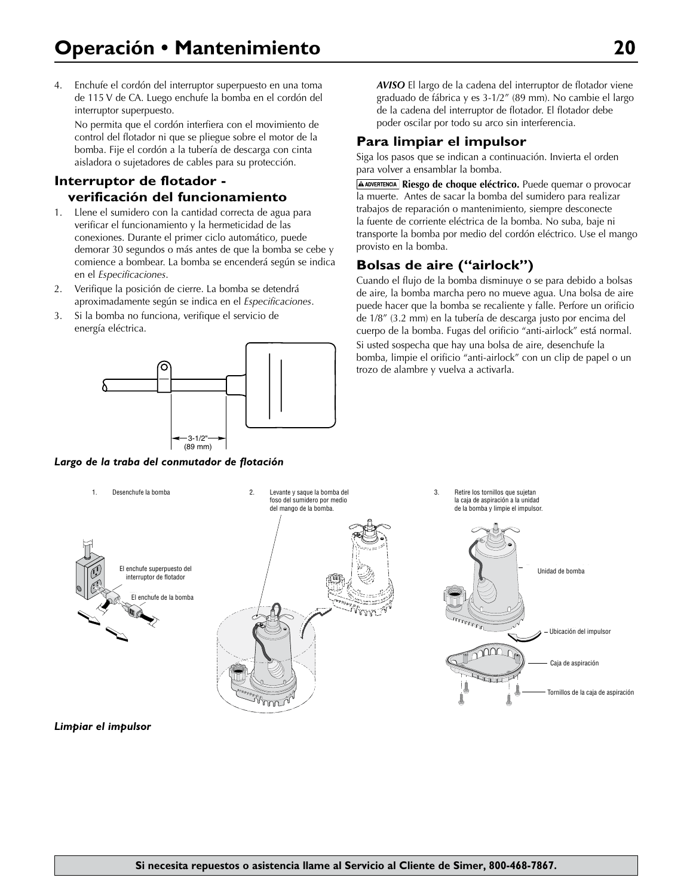4. Enchufe el cordón del interruptor superpuesto en una toma de 115 V de CA. Luego enchufe la bomba en el cordón del interruptor superpuesto.

No permita que el cordón interfiera con el movimiento de control del flotador ni que se pliegue sobre el motor de la bomba. Fije el cordón a la tubería de descarga con cinta aisladora o sujetadores de cables para su protección.

# **Interruptor de flotador verificación del funcionamiento**

- 1. Llene el sumidero con la cantidad correcta de agua para verificar el funcionamiento y la hermeticidad de las conexiones. Durante el primer ciclo automático, puede demorar 30 segundos o más antes de que la bomba se cebe y comience a bombear. La bomba se encenderá según se indica en el *Especificaciones*.
- 2. Verifique la posición de cierre. La bomba se detendrá aproximadamente según se indica en el *Especificaciones*.
- 3. Si la bomba no funciona, verifique el servicio de energía eléctrica.



*Largo de la traba del conmutador de flotación*

*AVISO* El largo de la cadena del interruptor de flotador viene graduado de fábrica y es 3-1/2" (89 mm). No cambie el largo de la cadena del interruptor de flotador. El flotador debe poder oscilar por todo su arco sin interferencia.

## **Para limpiar el impulsor**

Siga los pasos que se indican a continuación. Invierta el orden para volver a ensamblar la bomba.

**A ADVERTENCIA** Riesgo de choque eléctrico. Puede quemar o provocar la muerte. Antes de sacar la bomba del sumidero para realizar trabajos de reparación o mantenimiento, siempre desconecte la fuente de corriente eléctrica de la bomba. No suba, baje ni transporte la bomba por medio del cordón eléctrico. Use el mango provisto en la bomba.

## **Bolsas de aire ("airlock")**

Cuando el flujo de la bomba disminuye o se para debido a bolsas de aire, la bomba marcha pero no mueve agua. Una bolsa de aire puede hacer que la bomba se recaliente y falle. Perfore un orificio de 1/8" (3.2 mm) en la tubería de descarga justo por encima del cuerpo de la bomba. Fugas del orificio "anti-airlock" está normal. Si usted sospecha que hay una bolsa de aire, desenchufe la bomba, limpie el orificio "anti-airlock" con un clip de papel o un trozo de alambre y vuelva a activarla.



**Limpiar el impulsor**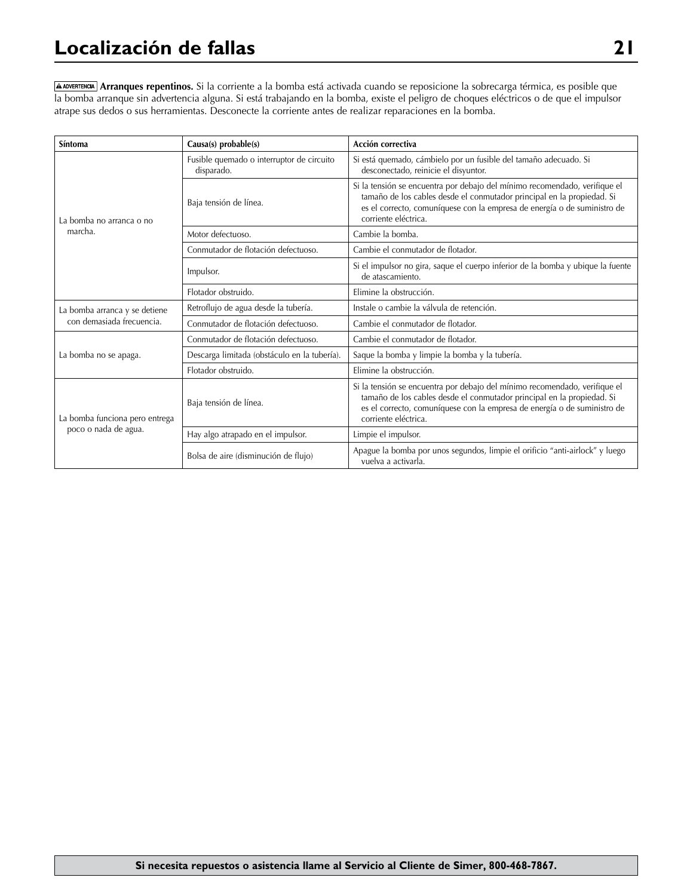# **Localización de fallas 21**

**Arranques repentinos.** Si la corriente a la bomba está activada cuando se reposicione la sobrecarga térmica, es posible que la bomba arranque sin advertencia alguna. Si está trabajando en la bomba, existe el peligro de choques eléctricos o de que el impulsor atrape sus dedos o sus herramientas. Desconecte la corriente antes de realizar reparaciones en la bomba.

| <b>Síntoma</b>                                             | Causa(s) probable(s)                                    | Acción correctiva                                                                                                                                                                                                                                        |  |
|------------------------------------------------------------|---------------------------------------------------------|----------------------------------------------------------------------------------------------------------------------------------------------------------------------------------------------------------------------------------------------------------|--|
| La bomba no arranca o no<br>marcha.                        | Fusible quemado o interruptor de circuito<br>disparado. | Si está quemado, cámbielo por un fusible del tamaño adecuado. Si<br>desconectado, reinicie el disyuntor.                                                                                                                                                 |  |
|                                                            | Baja tensión de línea.                                  | Si la tensión se encuentra por debajo del mínimo recomendado, verifique el<br>tamaño de los cables desde el conmutador principal en la propiedad. Si<br>es el correcto, comuníquese con la empresa de energía o de suministro de<br>corriente eléctrica. |  |
|                                                            | Motor defectuoso.                                       | Cambie la bomba.                                                                                                                                                                                                                                         |  |
|                                                            | Conmutador de flotación defectuoso.                     | Cambie el conmutador de flotador.                                                                                                                                                                                                                        |  |
|                                                            | Impulsor.                                               | Si el impulsor no gira, saque el cuerpo inferior de la bomba y ubique la fuente<br>de atascamiento.                                                                                                                                                      |  |
|                                                            | Flotador obstruido.                                     | Elimine la obstrucción.                                                                                                                                                                                                                                  |  |
| La bomba arranca y se detiene<br>con demasiada frecuencia. | Retroflujo de agua desde la tubería.                    | Instale o cambie la válvula de retención.                                                                                                                                                                                                                |  |
|                                                            | Conmutador de flotación defectuoso.                     | Cambie el conmutador de flotador.                                                                                                                                                                                                                        |  |
| La bomba no se apaga.                                      | Conmutador de flotación defectuoso.                     | Cambie el conmutador de flotador.                                                                                                                                                                                                                        |  |
|                                                            | Descarga limitada (obstáculo en la tubería).            | Saque la bomba y limpie la bomba y la tubería.                                                                                                                                                                                                           |  |
|                                                            | Flotador obstruido.                                     | Elimine la obstrucción.                                                                                                                                                                                                                                  |  |
| La bomba funciona pero entrega<br>poco o nada de agua.     | Baja tensión de línea.                                  | Si la tensión se encuentra por debajo del mínimo recomendado, verifique el<br>tamaño de los cables desde el conmutador principal en la propiedad. Si<br>es el correcto, comuníquese con la empresa de energía o de suministro de<br>corriente eléctrica. |  |
|                                                            | Hay algo atrapado en el impulsor.                       | Limpie el impulsor.                                                                                                                                                                                                                                      |  |
|                                                            | Bolsa de aire (disminución de flujo)                    | Apague la bomba por unos segundos, limpie el orificio "anti-airlock" y luego<br>vuelva a activarla.                                                                                                                                                      |  |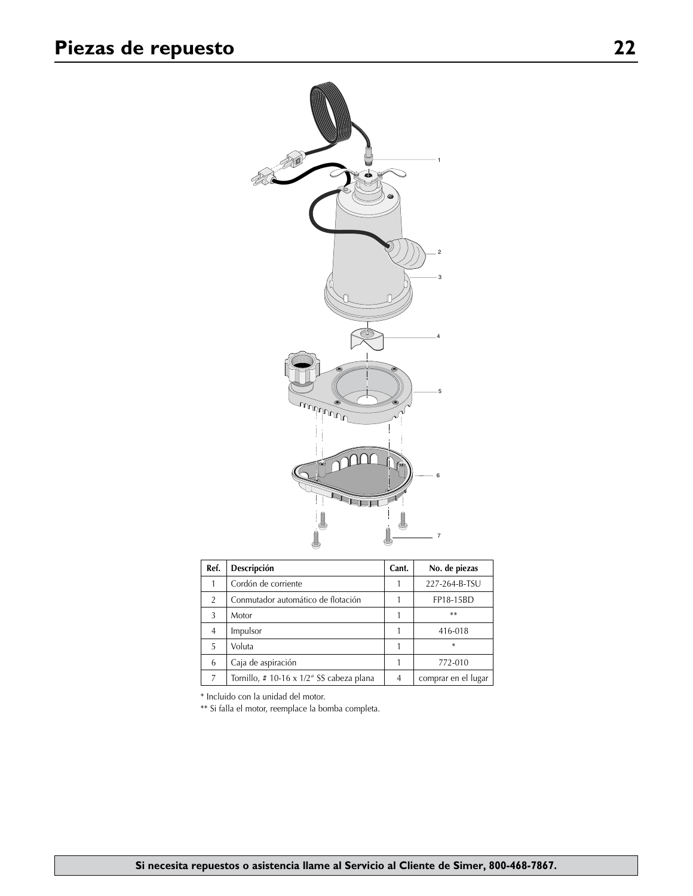

| Ref.           | Descripción                             | Cant. | No. de piezas       |
|----------------|-----------------------------------------|-------|---------------------|
|                | Cordón de corriente                     |       | 227-264-B-TSU       |
| $\overline{2}$ | Conmutador automático de flotación      |       | FP18-15BD           |
| 3              | Motor                                   |       | $***$               |
| 4              | Impulsor                                |       | 416-018             |
| 5.             | Voluta                                  |       | $\ast$              |
| 6              | Caja de aspiración                      |       | 772-010             |
| 7              | Tornillo, #10-16 x 1/2" SS cabeza plana | 4     | comprar en el lugar |

\* Incluido con la unidad del motor.

\*\* Si falla el motor, reemplace la bomba completa.